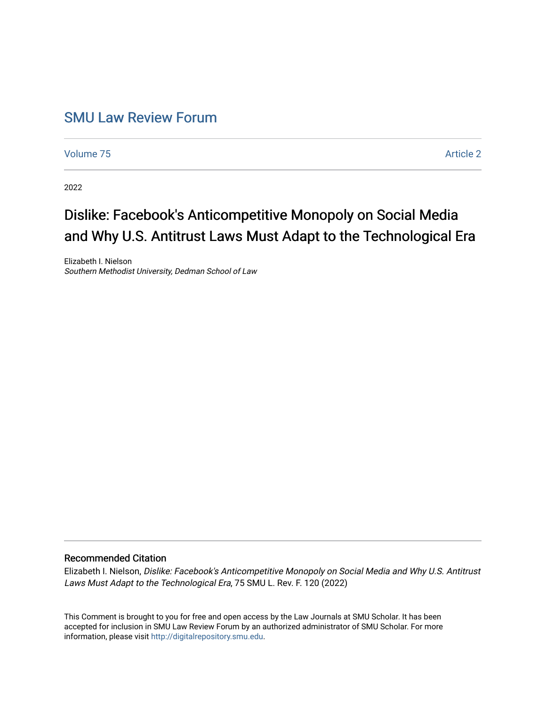## [SMU Law Review Forum](https://scholar.smu.edu/smulrforum)

[Volume 75](https://scholar.smu.edu/smulrforum/vol75) [Article 2](https://scholar.smu.edu/smulrforum/vol75/iss1/2) 

2022

# Dislike: Facebook's Anticompetitive Monopoly on Social Media and Why U.S. Antitrust Laws Must Adapt to the Technological Era

Elizabeth I. Nielson Southern Methodist University, Dedman School of Law

### Recommended Citation

Elizabeth I. Nielson, Dislike: Facebook's Anticompetitive Monopoly on Social Media and Why U.S. Antitrust Laws Must Adapt to the Technological Era, 75 SMU L. Rev. F. 120 (2022)

This Comment is brought to you for free and open access by the Law Journals at SMU Scholar. It has been accepted for inclusion in SMU Law Review Forum by an authorized administrator of SMU Scholar. For more information, please visit [http://digitalrepository.smu.edu](http://digitalrepository.smu.edu/).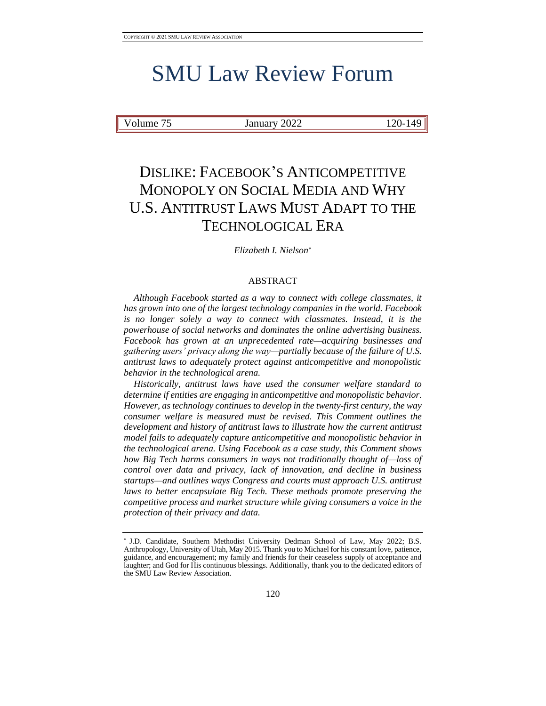# SMU Law Review Forum

Volume 75 January 2022 120-149

# DISLIKE: FACEBOOK'S ANTICOMPETITIVE MONOPOLY ON SOCIAL MEDIA AND WHY U.S. ANTITRUST LAWS MUST ADAPT TO THE TECHNOLOGICAL ERA

*Elizabeth I. Nielson*

#### ABSTRACT

*Although Facebook started as a way to connect with college classmates, it has grown into one of the largest technology companies in the world. Facebook*  is no longer solely a way to connect with classmates. Instead, it is the *powerhouse of social networks and dominates the online advertising business. Facebook has grown at an unprecedented rate—acquiring businesses and gathering users' privacy along the way—partially because of the failure of U.S. antitrust laws to adequately protect against anticompetitive and monopolistic behavior in the technological arena.*

*Historically, antitrust laws have used the consumer welfare standard to determine if entities are engaging in anticompetitive and monopolistic behavior. However, as technology continues to develop in the twenty-first century, the way consumer welfare is measured must be revised. This Comment outlines the development and history of antitrust laws to illustrate how the current antitrust model fails to adequately capture anticompetitive and monopolistic behavior in the technological arena. Using Facebook as a case study, this Comment shows how Big Tech harms consumers in ways not traditionally thought of—loss of control over data and privacy, lack of innovation, and decline in business startups—and outlines ways Congress and courts must approach U.S. antitrust laws to better encapsulate Big Tech. These methods promote preserving the competitive process and market structure while giving consumers a voice in the protection of their privacy and data.*

J.D. Candidate, Southern Methodist University Dedman School of Law, May 2022; B.S. Anthropology, University of Utah, May 2015. Thank you to Michael for his constant love, patience, guidance, and encouragement; my family and friends for their ceaseless supply of acceptance and laughter; and God for His continuous blessings. Additionally, thank you to the dedicated editors of the SMU Law Review Association.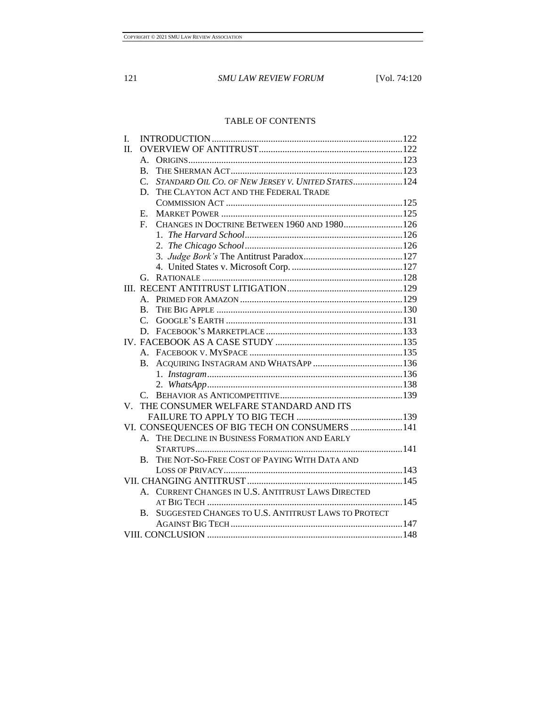### TABLE OF CONTENTS

| L.                                                   |                 |                                                     |  |
|------------------------------------------------------|-----------------|-----------------------------------------------------|--|
| $\Pi$ .                                              |                 |                                                     |  |
|                                                      | А.              |                                                     |  |
|                                                      | $\mathbf{B}$ .  |                                                     |  |
|                                                      | $C_{\cdot}$     | STANDARD OIL CO. OF NEW JERSEY V. UNITED STATES 124 |  |
|                                                      | D.              | THE CLAYTON ACT AND THE FEDERAL TRADE               |  |
|                                                      |                 |                                                     |  |
|                                                      | E.              |                                                     |  |
|                                                      | $F_{\rm c}$     | CHANGES IN DOCTRINE BETWEEN 1960 AND 1980 126       |  |
|                                                      |                 |                                                     |  |
|                                                      |                 |                                                     |  |
|                                                      |                 |                                                     |  |
|                                                      |                 |                                                     |  |
|                                                      | G.              |                                                     |  |
|                                                      |                 |                                                     |  |
|                                                      | $A_{\cdot}$     |                                                     |  |
|                                                      | B.              |                                                     |  |
|                                                      | $\mathcal{C}$ . |                                                     |  |
|                                                      | D.              |                                                     |  |
|                                                      |                 |                                                     |  |
|                                                      |                 |                                                     |  |
|                                                      | $\bf{B}$ .      |                                                     |  |
|                                                      |                 |                                                     |  |
|                                                      |                 |                                                     |  |
|                                                      |                 |                                                     |  |
| THE CONSUMER WELFARE STANDARD AND ITS<br>$V_{\perp}$ |                 |                                                     |  |
|                                                      |                 |                                                     |  |
|                                                      |                 | VI. CONSEQUENCES OF BIG TECH ON CONSUMERS  141      |  |
|                                                      |                 | A. THE DECLINE IN BUSINESS FORMATION AND EARLY      |  |
|                                                      |                 |                                                     |  |
|                                                      | B.              | THE NOT-SO-FREE COST OF PAYING WITH DATA AND        |  |
|                                                      |                 |                                                     |  |
|                                                      |                 |                                                     |  |
|                                                      |                 | A. CURRENT CHANGES IN U.S. ANTITRUST LAWS DIRECTED  |  |
|                                                      |                 |                                                     |  |
|                                                      | $\mathbf{B}$ .  | SUGGESTED CHANGES TO U.S. ANTITRUST LAWS TO PROTECT |  |
|                                                      |                 |                                                     |  |
|                                                      |                 |                                                     |  |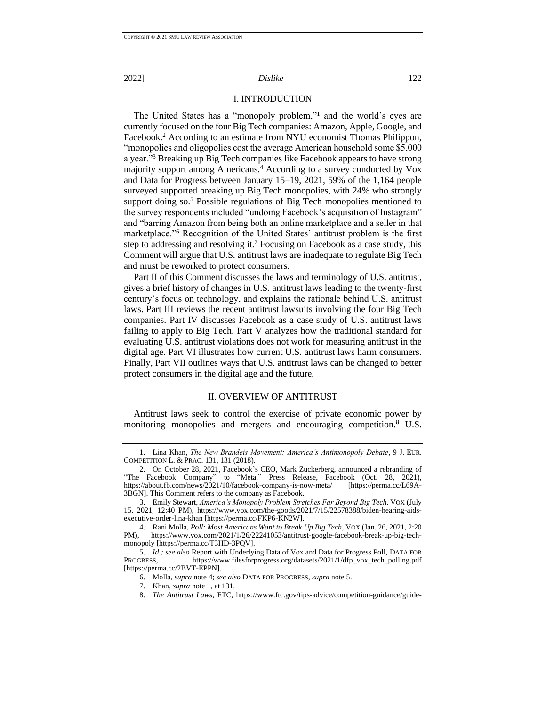### <span id="page-3-4"></span><span id="page-3-2"></span>I. INTRODUCTION

<span id="page-3-6"></span><span id="page-3-0"></span>The United States has a "monopoly problem,"<sup>1</sup> and the world's eyes are currently focused on the four Big Tech companies: Amazon, Apple, Google, and Facebook.<sup>2</sup> According to an estimate from NYU economist Thomas Philippon, "monopolies and oligopolies cost the average American household some \$5,000 a year."<sup>3</sup> Breaking up Big Tech companies like Facebook appears to have strong majority support among Americans.<sup>4</sup> According to a survey conducted by Vox and Data for Progress between January 15–19, 2021, 59% of the 1,164 people surveyed supported breaking up Big Tech monopolies, with 24% who strongly support doing so.<sup>5</sup> Possible regulations of Big Tech monopolies mentioned to the survey respondents included "undoing Facebook's acquisition of Instagram" and "barring Amazon from being both an online marketplace and a seller in that marketplace."<sup>6</sup> Recognition of the United States' antitrust problem is the first step to addressing and resolving it.<sup>7</sup> Focusing on Facebook as a case study, this Comment will argue that U.S. antitrust laws are inadequate to regulate Big Tech and must be reworked to protect consumers.

<span id="page-3-3"></span>Part II of this Comment discusses the laws and terminology of U.S. antitrust, gives a brief history of changes in U.S. antitrust laws leading to the twenty-first century's focus on technology, and explains the rationale behind U.S. antitrust laws. Part III reviews the recent antitrust lawsuits involving the four Big Tech companies. Part IV discusses Facebook as a case study of U.S. antitrust laws failing to apply to Big Tech. Part V analyzes how the traditional standard for evaluating U.S. antitrust violations does not work for measuring antitrust in the digital age. Part VI illustrates how current U.S. antitrust laws harm consumers. Finally, Part VII outlines ways that U.S. antitrust laws can be changed to better protect consumers in the digital age and the future.

### <span id="page-3-5"></span>II. OVERVIEW OF ANTITRUST

<span id="page-3-1"></span>Antitrust laws seek to control the exercise of private economic power by monitoring monopolies and mergers and encouraging competition.<sup>8</sup> U.S.

<sup>1.</sup> Lina Khan, *The New Brandeis Movement: America's Antimonopoly Debate*, 9 J. EUR. COMPETITION L. & PRAC. 131, 131 (2018).

<sup>2.</sup> On October 28, 2021, Facebook's CEO, Mark Zuckerberg, announced a rebranding of "The Facebook Company" to "Meta." Press Release, Facebook (Oct. 28, 2021), https://about.fb.com/news/2021/10/facebook-company-is-now-meta/ [https://perma.cc/L69A-3BGN]. This Comment refers to the company as Facebook.

<sup>3.</sup> Emily Stewart, *America's Monopoly Problem Stretches Far Beyond Big Tech*, VOX (July 15, 2021, 12:40 PM), https://www.vox.com/the-goods/2021/7/15/22578388/biden-hearing-aidsexecutive-order-lina-khan [https://perma.cc/FKP6-KN2W].

<sup>4.</sup> Rani Molla, *Poll: Most Americans Want to Break Up Big Tech*, VOX (Jan. 26, 2021, 2:20 https://www.vox.com/2021/1/26/22241053/antitrust-google-facebook-break-up-big-techmonopoly [https://perma.cc/T3HD-3PQV].

<sup>5.</sup> *Id.; see also* Report with Underlying Data of Vox and Data for Progress Poll, DATA FOR PROGRESS, https://www.filesforprogress.org/datasets/2021/1/dfp\_vox\_tech\_polling.pdf [https://perma.cc/2BVT-EPPN].

<sup>6.</sup> Molla, *supra* note [4;](#page-3-2) *see also* DATA FOR PROGRESS, *supra* not[e 5.](#page-3-3)

<sup>7.</sup> Khan, *supra* not[e 1,](#page-3-4) at 131.

<sup>8.</sup> *The Antitrust Laws*, FTC, https://www.ftc.gov/tips-advice/competition-guidance/guide-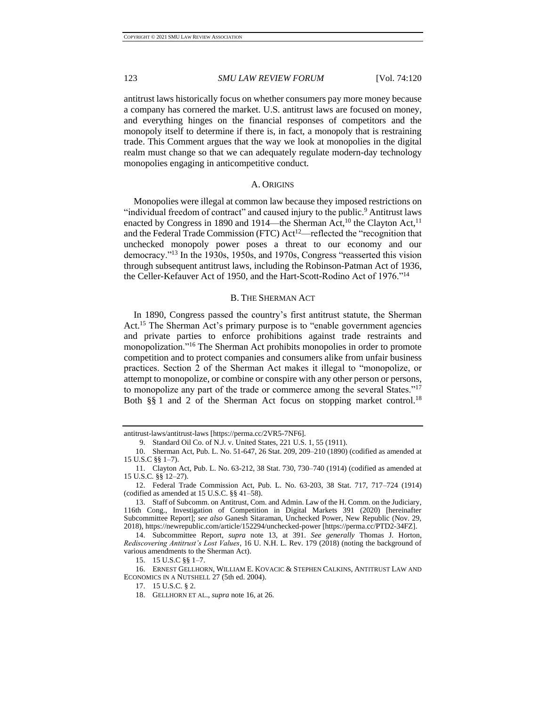antitrust laws historically focus on whether consumers pay more money because a company has cornered the market. U.S. antitrust laws are focused on money, and everything hinges on the financial responses of competitors and the monopoly itself to determine if there is, in fact, a monopoly that is restraining trade. This Comment argues that the way we look at monopolies in the digital realm must change so that we can adequately regulate modern-day technology monopolies engaging in anticompetitive conduct.

#### A. ORIGINS

<span id="page-4-2"></span><span id="page-4-0"></span>Monopolies were illegal at common law because they imposed restrictions on "individual freedom of contract" and caused injury to the public.<sup>9</sup> Antitrust laws enacted by Congress in 1890 and 1914—the Sherman Act,<sup>10</sup> the Clayton Act,<sup>11</sup> and the Federal Trade Commission (FTC) Act<sup>12</sup>—reflected the "recognition that unchecked monopoly power poses a threat to our economy and our democracy."<sup>13</sup> In the 1930s, 1950s, and 1970s, Congress "reasserted this vision through subsequent antitrust laws, including the Robinson-Patman Act of 1936, the Celler-Kefauver Act of 1950, and the Hart-Scott-Rodino Act of 1976."<sup>14</sup>

#### <span id="page-4-3"></span>B. THE SHERMAN ACT

<span id="page-4-1"></span>In 1890, Congress passed the country's first antitrust statute, the Sherman Act.<sup>15</sup> The Sherman Act's primary purpose is to "enable government agencies" and private parties to enforce prohibitions against trade restraints and monopolization."<sup>16</sup> The Sherman Act prohibits monopolies in order to promote competition and to protect companies and consumers alike from unfair business practices. Section 2 of the Sherman Act makes it illegal to "monopolize, or attempt to monopolize, or combine or conspire with any other person or persons, to monopolize any part of the trade or commerce among the several States."<sup>17</sup> Both §§ 1 and 2 of the Sherman Act focus on stopping market control.<sup>18</sup>

antitrust-laws/antitrust-laws [https://perma.cc/2VR5-7NF6].

<sup>9.</sup> Standard Oil Co. of N.J. v. United States, 221 U.S. 1, 55 (1911).

<sup>10.</sup> Sherman Act, Pub. L. No. 51-647, 26 Stat. 209, 209–210 (1890) (codified as amended at 15 U.S.C §§ 1–7).

<sup>11.</sup> Clayton Act, Pub. L. No. 63-212, 38 Stat. 730, 730–740 (1914) (codified as amended at 15 U.S.C. §§ 12–27).

<sup>12.</sup> Federal Trade Commission Act, Pub. L. No. 63-203, 38 Stat. 717, 717–724 (1914) (codified as amended at 15 U.S.C. §§ 41–58).

<sup>13.</sup> Staff of Subcomm. on Antitrust, Com. and Admin. Law of the H. Comm. on the Judiciary, 116th Cong., Investigation of Competition in Digital Markets 391 (2020) [hereinafter Subcommittee Report]; *see also* Ganesh Sitaraman, Unchecked Power, New Republic (Nov. 29, 2018), https://newrepublic.com/article/152294/unchecked-power [https://perma.cc/PTD2-34FZ].

<sup>14.</sup> Subcommittee Report, *supra* note [13,](#page-4-2) at 391. *See generally* Thomas J. Horton, *Rediscovering Antitrust's Lost Values*, 16 U. N.H. L. Rev. 179 (2018) (noting the background of various amendments to the Sherman Act).

<sup>15.</sup> 15 U.S.C §§ 1–7.

<sup>16.</sup> ERNEST GELLHORN, WILLIAM E. KOVACIC & STEPHEN CALKINS, ANTITRUST LAW AND ECONOMICS IN A NUTSHELL 27 (5th ed. 2004).

<sup>17.</sup> 15 U.S.C. § 2.

<sup>18.</sup> GELLHORN ET AL., *supra* note [16,](#page-4-3) at 26.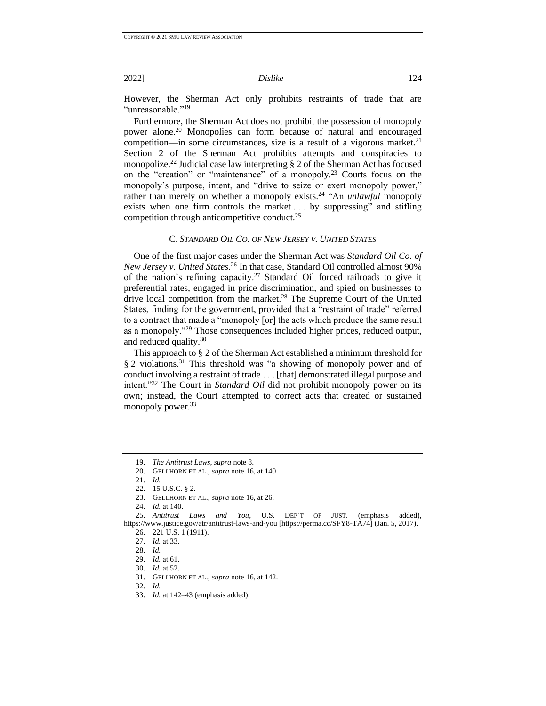However, the Sherman Act only prohibits restraints of trade that are "unreasonable."<sup>19</sup>

Furthermore, the Sherman Act does not prohibit the possession of monopoly power alone.<sup>20</sup> Monopolies can form because of natural and encouraged competition—in some circumstances, size is a result of a vigorous market.<sup>21</sup> Section 2 of the Sherman Act prohibits attempts and conspiracies to monopolize.<sup>22</sup> Judicial case law interpreting  $\S 2$  of the Sherman Act has focused on the "creation" or "maintenance" of a monopoly.<sup>23</sup> Courts focus on the monopoly's purpose, intent, and "drive to seize or exert monopoly power," rather than merely on whether a monopoly exists.<sup>24</sup> "An *unlawful* monopoly exists when one firm controls the market ... by suppressing" and stifling competition through anticompetitive conduct.<sup>25</sup>

### C. *STANDARD OIL CO. OF NEW JERSEY V. UNITED STATES*

<span id="page-5-0"></span>One of the first major cases under the Sherman Act was *Standard Oil Co. of New Jersey v. United States*. <sup>26</sup> In that case, Standard Oil controlled almost 90% of the nation's refining capacity.<sup>27</sup> Standard Oil forced railroads to give it preferential rates, engaged in price discrimination, and spied on businesses to drive local competition from the market.<sup>28</sup> The Supreme Court of the United States, finding for the government, provided that a "restraint of trade" referred to a contract that made a "monopoly [or] the acts which produce the same result as a monopoly."<sup>29</sup> Those consequences included higher prices, reduced output, and reduced quality.<sup>30</sup>

This approach to § 2 of the Sherman Act established a minimum threshold for § 2 violations.<sup>31</sup> This threshold was "a showing of monopoly power and of conduct involving a restraint of trade . . . [that] demonstrated illegal purpose and intent."<sup>32</sup> The Court in *Standard Oil* did not prohibit monopoly power on its own; instead, the Court attempted to correct acts that created or sustained monopoly power.<sup>33</sup>

<sup>19.</sup> *The Antitrust Laws, supra* not[e 8.](#page-3-5)

<sup>20.</sup> GELLHORN ET AL., *supra* note [16,](#page-4-3) at 140.

<sup>21.</sup> *Id.*

<sup>22.</sup> 15 U.S.C. § 2.

<sup>23.</sup> GELLHORN ET AL., *supra* note [16,](#page-4-3) at 26.

<sup>24.</sup> *Id.* at 140.

<sup>25.</sup> *Antitrust Laws and You*, U.S. DEP'T OF JUST. (emphasis added), https://www.justice.gov/atr/antitrust-laws-and-you [https://perma.cc/SFY8-TA74] (Jan. 5, 2017).

<sup>26.</sup> 221 U.S. 1 (1911).

<sup>27.</sup> *Id.* at 33.

<sup>28.</sup> *Id.*

<sup>29.</sup> *Id.* at 61.

<sup>30.</sup> *Id.* at 52.

<sup>31.</sup> GELLHORN ET AL., *supra* note [16,](#page-4-3) at 142.

<sup>32.</sup> *Id.*

<sup>33.</sup> *Id.* at 142–43 (emphasis added).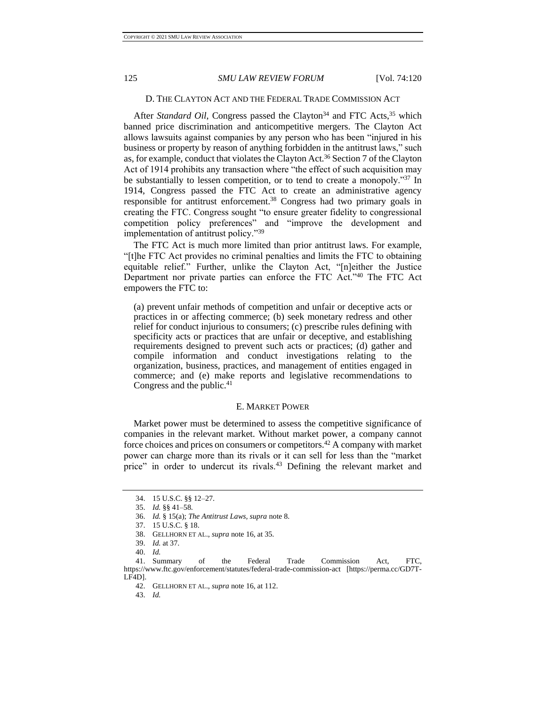#### D. THE CLAYTON ACT AND THE FEDERAL TRADE COMMISSION ACT

<span id="page-6-0"></span>After *Standard Oil*, Congress passed the Clayton<sup>34</sup> and FTC Acts,<sup>35</sup> which banned price discrimination and anticompetitive mergers. The Clayton Act allows lawsuits against companies by any person who has been "injured in his business or property by reason of anything forbidden in the antitrust laws," such as, for example, conduct that violates the Clayton Act.<sup>36</sup> Section 7 of the Clayton Act of 1914 prohibits any transaction where "the effect of such acquisition may be substantially to lessen competition, or to tend to create a monopoly."37 In 1914, Congress passed the FTC Act to create an administrative agency responsible for antitrust enforcement.<sup>38</sup> Congress had two primary goals in creating the FTC. Congress sought "to ensure greater fidelity to congressional competition policy preferences" and "improve the development and implementation of antitrust policy."<sup>39</sup>

The FTC Act is much more limited than prior antitrust laws. For example, "[t]he FTC Act provides no criminal penalties and limits the FTC to obtaining equitable relief." Further, unlike the Clayton Act, "[n]either the Justice Department nor private parties can enforce the FTC Act."<sup>40</sup> The FTC Act empowers the FTC to:

(a) prevent unfair methods of competition and unfair or deceptive acts or practices in or affecting commerce; (b) seek monetary redress and other relief for conduct injurious to consumers; (c) prescribe rules defining with specificity acts or practices that are unfair or deceptive, and establishing requirements designed to prevent such acts or practices; (d) gather and compile information and conduct investigations relating to the organization, business, practices, and management of entities engaged in commerce; and (e) make reports and legislative recommendations to Congress and the public.<sup>41</sup>

#### E. MARKET POWER

<span id="page-6-1"></span>Market power must be determined to assess the competitive significance of companies in the relevant market. Without market power, a company cannot force choices and prices on consumers or competitors.<sup>42</sup> A company with market power can charge more than its rivals or it can sell for less than the "market price" in order to undercut its rivals.<sup>43</sup> Defining the relevant market and

<sup>34.</sup> 15 U.S.C. §§ 12–27.

<sup>35.</sup> *Id.* §§ 41–58.

<sup>36.</sup> *Id.* § 15(a); *The Antitrust Laws, supra* not[e 8.](#page-3-5)

<sup>37.</sup> 15 U.S.C. § 18.

<sup>38.</sup> GELLHORN ET AL., *supra* note [16,](#page-4-3) at 35.

<sup>39.</sup> *Id.* at 37.

<sup>40.</sup> *Id.*

<sup>41.</sup> Summary of the Federal Trade Commission Act, FTC, https://www.ftc.gov/enforcement/statutes/federal-trade-commission-act [https://perma.cc/GD7T-LF4D].

<sup>42.</sup> GELLHORN ET AL., *supra* note [16,](#page-4-3) at 112.

<sup>43.</sup> *Id.*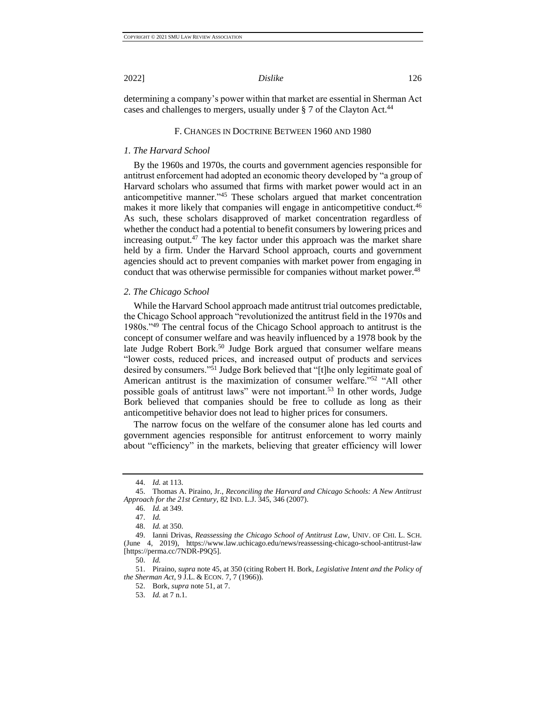<span id="page-7-0"></span>determining a company's power within that market are essential in Sherman Act cases and challenges to mergers, usually under  $\S 7$  of the Clayton Act.<sup>44</sup>

#### <span id="page-7-3"></span>F. CHANGES IN DOCTRINE BETWEEN 1960 AND 1980

#### <span id="page-7-1"></span>*1. The Harvard School*

By the 1960s and 1970s, the courts and government agencies responsible for antitrust enforcement had adopted an economic theory developed by "a group of Harvard scholars who assumed that firms with market power would act in an anticompetitive manner."<sup>45</sup> These scholars argued that market concentration makes it more likely that companies will engage in anticompetitive conduct.<sup>46</sup> As such, these scholars disapproved of market concentration regardless of whether the conduct had a potential to benefit consumers by lowering prices and increasing output.<sup>47</sup> The key factor under this approach was the market share held by a firm. Under the Harvard School approach, courts and government agencies should act to prevent companies with market power from engaging in conduct that was otherwise permissible for companies without market power.<sup>48</sup>

#### <span id="page-7-2"></span>*2. The Chicago School*

While the Harvard School approach made antitrust trial outcomes predictable, the Chicago School approach "revolutionized the antitrust field in the 1970s and 1980s."<sup>49</sup> The central focus of the Chicago School approach to antitrust is the concept of consumer welfare and was heavily influenced by a 1978 book by the late Judge Robert Bork.<sup>50</sup> Judge Bork argued that consumer welfare means "lower costs, reduced prices, and increased output of products and services desired by consumers."<sup>51</sup> Judge Bork believed that "[t]he only legitimate goal of American antitrust is the maximization of consumer welfare."<sup>52</sup> "All other possible goals of antitrust laws" were not important.<sup>53</sup> In other words, Judge Bork believed that companies should be free to collude as long as their anticompetitive behavior does not lead to higher prices for consumers.

<span id="page-7-4"></span>The narrow focus on the welfare of the consumer alone has led courts and government agencies responsible for antitrust enforcement to worry mainly about "efficiency" in the markets, believing that greater efficiency will lower

<sup>44.</sup> *Id.* at 113.

<sup>45.</sup> Thomas A. Piraino, Jr., *Reconciling the Harvard and Chicago Schools: A New Antitrust Approach for the 21st Century*, 82 IND. L.J. 345, 346 (2007).

<sup>46.</sup> *Id.* at 349.

<sup>47.</sup> *Id.*

<sup>48.</sup> *Id.* at 350.

<sup>49.</sup> Ianni Drivas, *Reassessing the Chicago School of Antitrust Law*, UNIV. OF CHI. L. SCH. (June 4, 2019), <https://www.law.uchicago.edu/news/reassessing-chicago-school-antitrust-law> [https://perma.cc/7NDR-P9Q5].

<sup>50.</sup> *Id.*

<sup>51.</sup> Piraino, *supra* note [45,](#page-7-3) at 350 (citing Robert H. Bork, *Legislative Intent and the Policy of the Sherman Act*, 9 J.L. & ECON. 7, 7 (1966)).

<sup>52.</sup> Bork*, supra* not[e 51,](#page-7-4) at 7.

<sup>53.</sup> *Id.* at 7 n.1.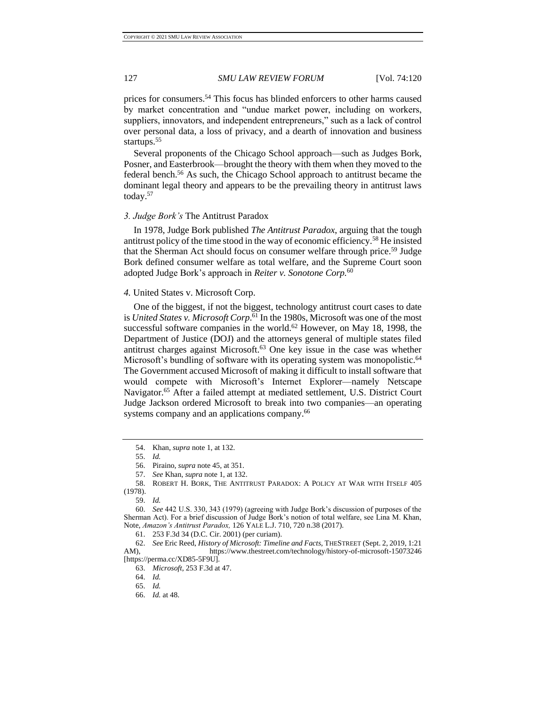<span id="page-8-2"></span>

prices for consumers.<sup>54</sup> This focus has blinded enforcers to other harms caused by market concentration and "undue market power, including on workers, suppliers, innovators, and independent entrepreneurs," such as a lack of control over personal data, a loss of privacy, and a dearth of innovation and business startups.<sup>55</sup>

Several proponents of the Chicago School approach—such as Judges Bork, Posner, and Easterbrook—brought the theory with them when they moved to the federal bench.<sup>56</sup> As such, the Chicago School approach to antitrust became the dominant legal theory and appears to be the prevailing theory in antitrust laws today.<sup>57</sup>

### <span id="page-8-0"></span>*3. Judge Bork's* The Antitrust Paradox

In 1978, Judge Bork published *The Antitrust Paradox*, arguing that the tough antitrust policy of the time stood in the way of economic efficiency.<sup>58</sup> He insisted that the Sherman Act should focus on consumer welfare through price.<sup>59</sup> Judge Bork defined consumer welfare as total welfare, and the Supreme Court soon adopted Judge Bork's approach in *Reiter v. Sonotone Corp.*<sup>60</sup>

#### <span id="page-8-1"></span>*4.* United States v. Microsoft Corp.

One of the biggest, if not the biggest, technology antitrust court cases to date is *United States v. Microsoft Corp*. <sup>61</sup> In the 1980s, Microsoft was one of the most successful software companies in the world.<sup>62</sup> However, on May 18, 1998, the Department of Justice (DOJ) and the attorneys general of multiple states filed antitrust charges against Microsoft.<sup>63</sup> One key issue in the case was whether Microsoft's bundling of software with its operating system was monopolistic.<sup>64</sup> The Government accused Microsoft of making it difficult to install software that would compete with Microsoft's Internet Explorer—namely Netscape Navigator.<sup>65</sup> After a failed attempt at mediated settlement, U.S. District Court Judge Jackson ordered Microsoft to break into two companies—an operating systems company and an applications company.<sup>66</sup>

<sup>54.</sup> Khan, *supra* not[e 1,](#page-3-4) at 132.

<sup>55.</sup> *Id.*

<sup>56.</sup> Piraino, *supra* not[e 45,](#page-7-3) at 351.

<sup>57.</sup> *See* Khan, *supra* note [1,](#page-3-4) at 132.

<sup>58.</sup> ROBERT H. BORK, THE ANTITRUST PARADOX: A POLICY AT WAR WITH ITSELF 405 (1978).

<sup>59.</sup> *Id.*

<sup>60.</sup> *See* 442 U.S. 330, 343 (1979) (agreeing with Judge Bork's discussion of purposes of the Sherman Act). For a brief discussion of Judge Bork's notion of total welfare, see Lina M. Khan, Note, *Amazon's Antitrust Paradox,* 126 YALE L.J. 710, 720 n.38 (2017).

<sup>61.</sup> 253 F.3d 34 (D.C. Cir. 2001) (per curiam).

<sup>62.</sup> *See* Eric Reed, *History of Microsoft: Timeline and Facts,* THESTREET (Sept. 2, 2019, 1:21 AM), https://www.thestreet.com/technology/history-of-microsoft-15073246 [https://perma.cc/XD85-5F9U].

<sup>63.</sup> *Microsoft*, 253 F.3d at 47.

<sup>64.</sup> *Id.*

<sup>65.</sup> *Id.*

<sup>66.</sup> *Id.* at 48.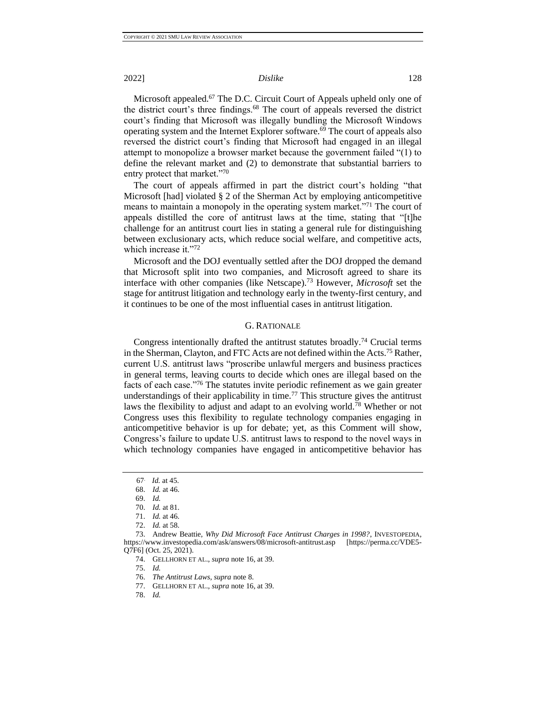Microsoft appealed.<sup>67</sup> The D.C. Circuit Court of Appeals upheld only one of the district court's three findings.<sup>68</sup> The court of appeals reversed the district court's finding that Microsoft was illegally bundling the Microsoft Windows operating system and the Internet Explorer software.<sup>69</sup> The court of appeals also reversed the district court's finding that Microsoft had engaged in an illegal attempt to monopolize a browser market because the government failed "(1) to define the relevant market and (2) to demonstrate that substantial barriers to entry protect that market."<sup>70</sup>

The court of appeals affirmed in part the district court's holding "that Microsoft [had] violated § 2 of the Sherman Act by employing anticompetitive means to maintain a monopoly in the operating system market."<sup>71</sup> The court of appeals distilled the core of antitrust laws at the time, stating that "[t]he challenge for an antitrust court lies in stating a general rule for distinguishing between exclusionary acts, which reduce social welfare, and competitive acts, which increase it."72

Microsoft and the DOJ eventually settled after the DOJ dropped the demand that Microsoft split into two companies, and Microsoft agreed to share its interface with other companies (like Netscape).<sup>73</sup> However, *Microsoft* set the stage for antitrust litigation and technology early in the twenty-first century, and it continues to be one of the most influential cases in antitrust litigation.

#### G. RATIONALE

<span id="page-9-0"></span>Congress intentionally drafted the antitrust statutes broadly.<sup>74</sup> Crucial terms in the Sherman, Clayton, and FTC Acts are not defined within the Acts.<sup>75</sup> Rather, current U.S. antitrust laws "proscribe unlawful mergers and business practices in general terms, leaving courts to decide which ones are illegal based on the facts of each case."<sup>76</sup> The statutes invite periodic refinement as we gain greater understandings of their applicability in time.<sup>77</sup> This structure gives the antitrust laws the flexibility to adjust and adapt to an evolving world.<sup>78</sup> Whether or not Congress uses this flexibility to regulate technology companies engaging in anticompetitive behavior is up for debate; yet, as this Comment will show, Congress's failure to update U.S. antitrust laws to respond to the novel ways in which technology companies have engaged in anticompetitive behavior has

75. *Id.*

- 77. GELLHORN ET AL., *supra* note 16, at 39.
- 78. *Id.*

<sup>67</sup>. *Id.* at 45.

<sup>68.</sup> *Id.* at 46.

<sup>69.</sup> *Id.*

<sup>70.</sup> *Id.* at 81.

<sup>71.</sup> *Id.* at 46.

<sup>72.</sup> *Id.* at 58.

<sup>73.</sup> Andrew Beattie, *Why Did Microsoft Face Antitrust Charges in 1998?*, INVESTOPEDIA, https://www.investopedia.com/ask/answers/08/microsoft-antitrust.asp [https://perma.cc/VDE5- Q7F6] (Oct. 25, 2021).

<sup>74.</sup> GELLHORN ET AL., *supra* note 16, at 39.

<sup>76.</sup> *The Antitrust Laws, supra* note 8.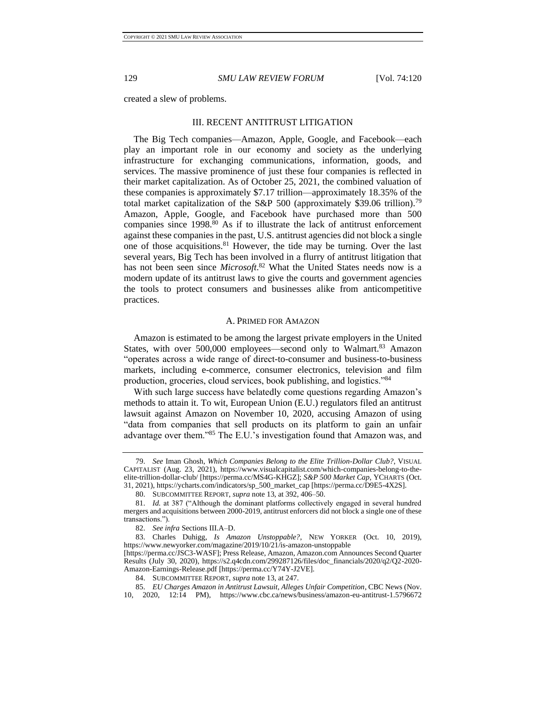<span id="page-10-0"></span>created a slew of problems.

#### III. RECENT ANTITRUST LITIGATION

The Big Tech companies—Amazon, Apple, Google, and Facebook—each play an important role in our economy and society as the underlying infrastructure for exchanging communications, information, goods, and services. The massive prominence of just these four companies is reflected in their market capitalization. As of October 25, 2021, the combined valuation of these companies is approximately \$7.17 trillion—approximately 18.35% of the total market capitalization of the S&P 500 (approximately \$39.06 trillion).<sup>79</sup> Amazon, Apple, Google, and Facebook have purchased more than 500 companies since 1998.<sup>80</sup> As if to illustrate the lack of antitrust enforcement against these companies in the past, U.S. antitrust agencies did not block a single one of those acquisitions.<sup>81</sup> However, the tide may be turning. Over the last several years, Big Tech has been involved in a flurry of antitrust litigation that has not been seen since *Microsoft*. <sup>82</sup> What the United States needs now is a modern update of its antitrust laws to give the courts and government agencies the tools to protect consumers and businesses alike from anticompetitive practices.

#### A. PRIMED FOR AMAZON

<span id="page-10-1"></span>Amazon is estimated to be among the largest private employers in the United States, with over 500,000 employees—second only to Walmart.<sup>83</sup> Amazon "operates across a wide range of direct-to-consumer and business-to-business markets, including e-commerce, consumer electronics, television and film production, groceries, cloud services, book publishing, and logistics."<sup>84</sup>

With such large success have belatedly come questions regarding Amazon's methods to attain it. To wit, European Union (E.U.) regulators filed an antitrust lawsuit against Amazon on November 10, 2020, accusing Amazon of using "data from companies that sell products on its platform to gain an unfair advantage over them."<sup>85</sup> The E.U.'s investigation found that Amazon was, and

<sup>79.</sup> *See* Iman Ghosh, *Which Companies Belong to the Elite Trillion-Dollar Club?*, VISUAL CAPITALIST (Aug. 23, 2021), https://www.visualcapitalist.com/which-companies-belong-to-theelite-trillion-dollar-club/ [https://perma.cc/MS4G-KHGZ]; *S&P 500 Market Cap*, YCHARTS (Oct. 31, 2021), https://ycharts.com/indicators/sp\_500\_market\_cap [https://perma.cc/D9E5-4X2S].

<sup>80.</sup> SUBCOMMITTEE REPORT, *supra* note 13, at 392, 406–50.

<sup>81.</sup> *Id.* at 387 ("Although the dominant platforms collectively engaged in several hundred mergers and acquisitions between 2000-2019, antitrust enforcers did not block a single one of these transactions.").

<sup>82.</sup> *See infra* Sections III.A–D.

<sup>83.</sup> Charles Duhigg, *Is Amazon Unstoppable?*, NEW YORKER (Oct. 10, 2019), https://www.newyorker.com/magazine/2019/10/21/is-amazon-unstoppable

<sup>[</sup>https://perma.cc/JSC3-WASF]; Press Release, Amazon, Amazon.com Announces Second Quarter Results (July 30, 2020), https://s2.q4cdn.com/299287126/files/doc\_financials/2020/q2/Q2-2020- Amazon-Earnings-Release.pdf [https://perma.cc/Y74Y-J2VE].

<sup>84.</sup> SUBCOMMITTEE REPORT, *supra* not[e 13,](#page-4-2) at 247.

<sup>85.</sup> *EU Charges Amazon in Antitrust Lawsuit, Alleges Unfair Competition*, CBC News (Nov. 10, 2020, 12:14 PM), https://www.cbc.ca/news/business/amazon-eu-antitrust-1.5796672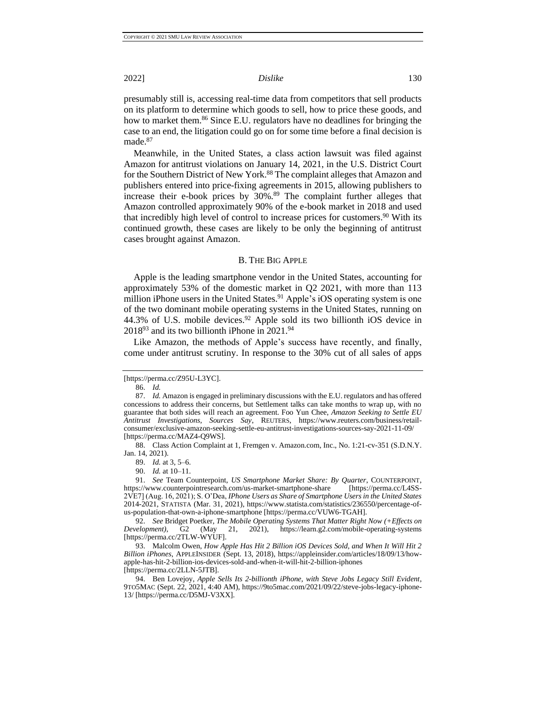presumably still is, accessing real-time data from competitors that sell products on its platform to determine which goods to sell, how to price these goods, and how to market them.<sup>86</sup> Since E.U. regulators have no deadlines for bringing the case to an end, the litigation could go on for some time before a final decision is made.<sup>87</sup>

Meanwhile, in the United States, a class action lawsuit was filed against Amazon for antitrust violations on January 14, 2021, in the U.S. District Court for the Southern District of New York.<sup>88</sup> The complaint alleges that Amazon and publishers entered into price-fixing agreements in 2015, allowing publishers to increase their e-book prices by 30%.<sup>89</sup> The complaint further alleges that Amazon controlled approximately 90% of the e-book market in 2018 and used that incredibly high level of control to increase prices for customers.<sup>90</sup> With its continued growth, these cases are likely to be only the beginning of antitrust cases brought against Amazon.

#### B. THE BIG APPLE

<span id="page-11-0"></span>Apple is the leading smartphone vendor in the United States, accounting for approximately 53% of the domestic market in Q2 2021, with more than 113 million iPhone users in the United States.<sup>91</sup> Apple's iOS operating system is one of the two dominant mobile operating systems in the United States, running on  $44.3\%$  of U.S. mobile devices.<sup>92</sup> Apple sold its two billionth iOS device in  $2018<sup>93</sup>$  and its two billionth iPhone in  $2021.<sup>94</sup>$ 

Like Amazon, the methods of Apple's success have recently, and finally, come under antitrust scrutiny. In response to the 30% cut of all sales of apps

86. *Id.*

88. Class Action Complaint at 1, Fremgen v. Amazon.com, Inc., No. 1:21-cv-351 (S.D.N.Y. Jan. 14, 2021).

89. *Id.* at 3, 5–6.

90. *Id.* at 10–11.

92. *See* Bridget Poetker, *The Mobile Operating Systems That Matter Right Now (+Effects on Development)*, G2 (May 21, 2021), https://learn.g2.com/mobile-operating-systems [https://perma.cc/2TLW-WYUF].

93. Malcolm Owen, *How Apple Has Hit 2 Billion iOS Devices Sold, and When It Will Hit 2 Billion iPhones*, APPLEINSIDER (Sept. 13, 2018), https://appleinsider.com/articles/18/09/13/howapple-has-hit-2-billion-ios-devices-sold-and-when-it-will-hit-2-billion-iphones

[https://perma.cc/2LLN-5JTB].

94. Ben Lovejoy, *Apple Sells Its 2-billionth iPhone, with Steve Jobs Legacy Still Evident*, 9TO5MAC (Sept. 22, 2021, 4:40 AM), https://9to5mac.com/2021/09/22/steve-jobs-legacy-iphone-13/ [https://perma.cc/D5MJ-V3XX].

<sup>[</sup>https://perma.cc/Z95U-L3YC].

<sup>87.</sup> *Id.* Amazon is engaged in preliminary discussions with the E.U. regulators and has offered concessions to address their concerns, but Settlement talks can take months to wrap up, with no guarantee that both sides will reach an agreement. Foo Yun Chee, *Amazon Seeking to Settle EU Antitrust Investigations, Sources Say*, REUTERS, https://www.reuters.com/business/retailconsumer/exclusive-amazon-seeking-settle-eu-antitrust-investigations-sources-say-2021-11-09/ [https://perma.cc/MAZ4-Q9WS].

<sup>91.</sup> *See* Team Counterpoint, *US Smartphone Market Share: By Quarter*, COUNTERPOINT, https://www.counterpointresearch.com/us-market-smartphone-share [https://perma.cc/L4SS-2VE7] (Aug. 16, 2021); S. O'Dea, *IPhone Users as Share of Smartphone Users in the United States* 2014-2021, STATISTA (Mar. 31, 2021), https://www.statista.com/statistics/236550/percentage-ofus-population-that-own-a-iphone-smartphone [https://perma.cc/VUW6-TGAH].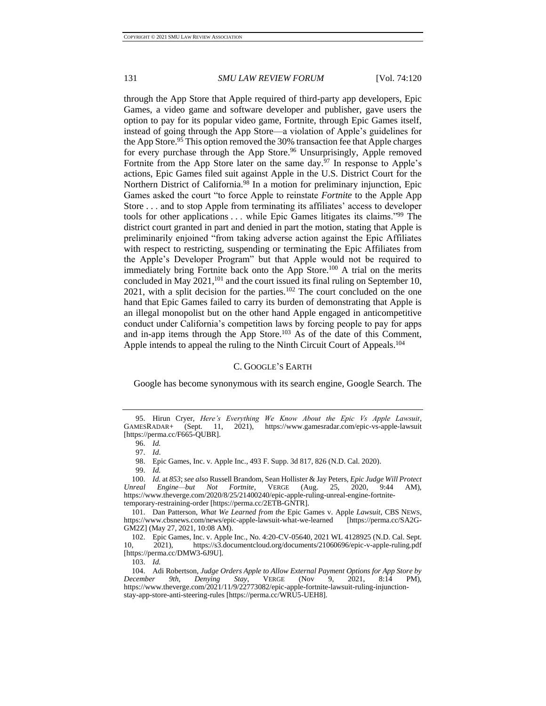through the App Store that Apple required of third-party app developers, Epic Games, a video game and software developer and publisher, gave users the option to pay for its popular video game, Fortnite, through Epic Games itself, instead of going through the App Store—a violation of Apple's guidelines for the App Store.<sup>95</sup> This option removed the 30% transaction fee that Apple charges for every purchase through the App Store.<sup>96</sup> Unsurprisingly, Apple removed Fortnite from the App Store later on the same day.<sup>97</sup> In response to Apple's actions, Epic Games filed suit against Apple in the U.S. District Court for the Northern District of California.<sup>98</sup> In a motion for preliminary injunction, Epic Games asked the court "to force Apple to reinstate *Fortnite* to the Apple App Store . . . and to stop Apple from terminating its affiliates' access to developer tools for other applications . . . while Epic Games litigates its claims."<sup>99</sup> The district court granted in part and denied in part the motion, stating that Apple is preliminarily enjoined "from taking adverse action against the Epic Affiliates with respect to restricting, suspending or terminating the Epic Affiliates from the Apple's Developer Program" but that Apple would not be required to immediately bring Fortnite back onto the App Store.<sup>100</sup> A trial on the merits concluded in May 2021,<sup>101</sup> and the court issued its final ruling on September 10, 2021, with a split decision for the parties.<sup>102</sup> The court concluded on the one hand that Epic Games failed to carry its burden of demonstrating that Apple is an illegal monopolist but on the other hand Apple engaged in anticompetitive conduct under California's competition laws by forcing people to pay for apps and in-app items through the App Store.<sup>103</sup> As of the date of this Comment, Apple intends to appeal the ruling to the Ninth Circuit Court of Appeals.<sup>104</sup>

#### C. GOOGLE'S EARTH

<span id="page-12-0"></span>Google has become synonymous with its search engine, Google Search. The

<sup>95.</sup> Hirun Cryer, *Here's Everything We Know About the Epic Vs Apple Lawsuit*, (Sept. 11, 2021), https://www.gamesradar.com/epic-vs-apple-lawsuit [https://perma.cc/F665-QUBR].

<sup>96.</sup> *Id.*

<sup>97.</sup> *Id*.

<sup>98.</sup> Epic Games, Inc. v. Apple Inc., 493 F. Supp. 3d 817, 826 (N.D. Cal. 2020).

<sup>99.</sup> *Id.*

<sup>100.</sup> *Id.* at *853*; *see also* Russell Brandom, Sean Hollister & Jay Peters, *Epic Judge Will Protect Unreal Engine—but Not Fortnite*, VERGE (Aug. 25, 2020, 9:44 AM), https://www.theverge.com/2020/8/25/21400240/epic-apple-ruling-unreal-engine-fortnitetemporary-restraining-order [https://perma.cc/2ETB-GNTR].

<sup>101.</sup> Dan Patterson, *What We Learned from the* Epic Games v. Apple *Lawsuit*, CBS NEWS, https://www.cbsnews.com/news/epic-apple-lawsuit-what-we-learned [https://perma.cc/SA2G-GM2Z] (May 27, 2021, 10:08 AM).

<sup>102.</sup> Epic Games, Inc. v. Apple Inc., No. 4:20-CV-05640, 2021 WL 4128925 (N.D. Cal. Sept. 10, 2021), https://s3.documentcloud.org/documents/21060696/epic-v-apple-ruling.pdf [https://perma.cc/DMW3-6J9U].

<sup>103.</sup> *Id.*

<sup>104.</sup> Adi Robertson, *Judge Orders Apple to Allow External Payment Options for App Store by December 9th, Denying Stay*, VERGE (Nov 9, 2021, 8:14 PM), https://www.theverge.com/2021/11/9/22773082/epic-apple-fortnite-lawsuit-ruling-injunctionstay-app-store-anti-steering-rules [https://perma.cc/WRU5-UEH8].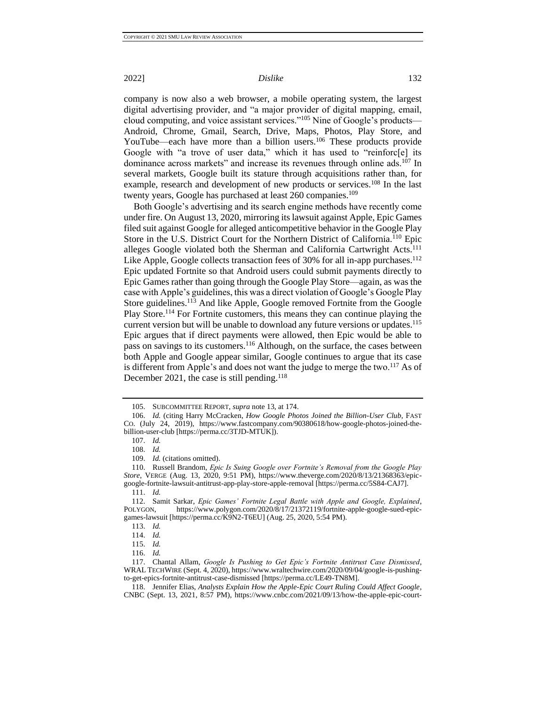company is now also a web browser, a mobile operating system, the largest digital advertising provider, and "a major provider of digital mapping, email, cloud computing, and voice assistant services."<sup>105</sup> Nine of Google's products— Android, Chrome, Gmail, Search, Drive, Maps, Photos, Play Store, and YouTube—each have more than a billion users.<sup>106</sup> These products provide Google with "a trove of user data," which it has used to "reinforc[e] its dominance across markets" and increase its revenues through online ads.<sup>107</sup> In several markets, Google built its stature through acquisitions rather than, for example, research and development of new products or services.<sup>108</sup> In the last twenty years, Google has purchased at least 260 companies.<sup>109</sup>

Both Google's advertising and its search engine methods have recently come under fire. On August 13, 2020, mirroring its lawsuit against Apple, Epic Games filed suit against Google for alleged anticompetitive behavior in the Google Play Store in the U.S. District Court for the Northern District of California.<sup>110</sup> Epic alleges Google violated both the Sherman and California Cartwright Acts.<sup>111</sup> Like Apple, Google collects transaction fees of 30% for all in-app purchases.<sup>112</sup> Epic updated Fortnite so that Android users could submit payments directly to Epic Games rather than going through the Google Play Store—again, as was the case with Apple's guidelines, this was a direct violation of Google's Google Play Store guidelines.<sup>113</sup> And like Apple, Google removed Fortnite from the Google Play Store.<sup>114</sup> For Fortnite customers, this means they can continue playing the current version but will be unable to download any future versions or updates.<sup>115</sup> Epic argues that if direct payments were allowed, then Epic would be able to pass on savings to its customers.<sup>116</sup> Although, on the surface, the cases between both Apple and Google appear similar, Google continues to argue that its case is different from Apple's and does not want the judge to merge the two.<sup>117</sup> As of December 2021, the case is still pending.<sup>118</sup>

<sup>105.</sup> SUBCOMMITTEE REPORT, *supra* note 13, at 174.

<sup>106.</sup> *Id.* (citing Harry McCracken, *How Google Photos Joined the Billion-User Club*, FAST CO. (July 24, 2019), https://www.fastcompany.com/90380618/how-google-photos-joined-thebillion-user-club [https://perma.cc/3TJD-MTUK]).

<sup>107.</sup> *Id.* 108. *Id.*

<sup>109.</sup> *Id.* (citations omitted).

<sup>110.</sup> Russell Brandom, *Epic Is Suing Google over Fortnite's Removal from the Google Play Store*, VERGE (Aug. 13, 2020, 9:51 PM), https://www.theverge.com/2020/8/13/21368363/epicgoogle-fortnite-lawsuit-antitrust-app-play-store-apple-removal [https://perma.cc/5S84-CAJ7].

<sup>111.</sup> *Id.*

<sup>112.</sup> Samit Sarkar, *Epic Games' Fortnite Legal Battle with Apple and Google, Explained*, POLYGON, https://www.polygon.com/2020/8/17/21372119/fortnite-apple-google-sued-epicgames-lawsuit [https://perma.cc/K9N2-T6EU] (Aug. 25, 2020, 5:54 PM).

<sup>113.</sup> *Id.*

<sup>114.</sup> *Id.*

<sup>115.</sup> *Id.*

<sup>116.</sup> *Id.*

<sup>117.</sup> Chantal Allam, *Google Is Pushing to Get Epic's Fortnite Antitrust Case Dismissed*, WRAL TECHWIRE (Sept. 4, 2020), https://www.wraltechwire.com/2020/09/04/google-is-pushingto-get-epics-fortnite-antitrust-case-dismissed [https://perma.cc/LE49-TN8M].

<sup>118.</sup> Jennifer Elias, *Analysts Explain How the Apple-Epic Court Ruling Could Affect Google*, CNBC (Sept. 13, 2021, 8:57 PM), https://www.cnbc.com/2021/09/13/how-the-apple-epic-court-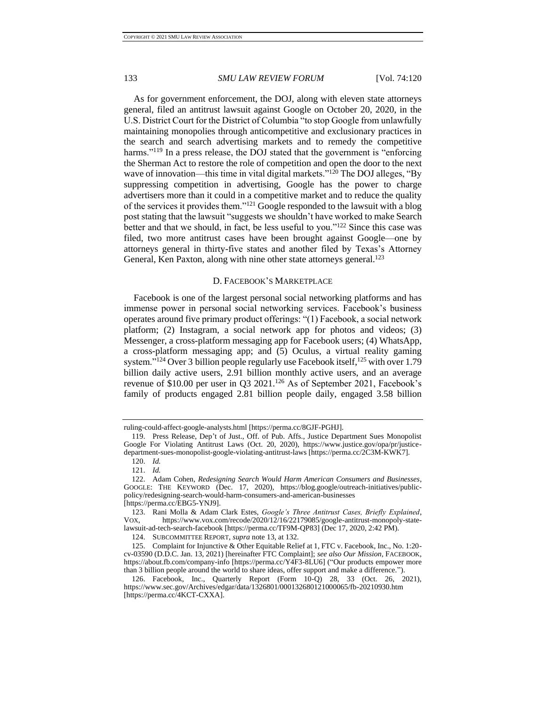As for government enforcement, the DOJ, along with eleven state attorneys general, filed an antitrust lawsuit against Google on October 20, 2020, in the U.S. District Court for the District of Columbia "to stop Google from unlawfully maintaining monopolies through anticompetitive and exclusionary practices in the search and search advertising markets and to remedy the competitive harms."<sup>119</sup> In a press release, the DOJ stated that the government is "enforcing the Sherman Act to restore the role of competition and open the door to the next wave of innovation—this time in vital digital markets."<sup>120</sup> The DOJ alleges, "By suppressing competition in advertising, Google has the power to charge advertisers more than it could in a competitive market and to reduce the quality of the services it provides them."<sup>121</sup> Google responded to the lawsuit with a blog post stating that the lawsuit "suggests we shouldn't have worked to make Search better and that we should, in fact, be less useful to you."<sup>122</sup> Since this case was filed, two more antitrust cases have been brought against Google—one by attorneys general in thirty-five states and another filed by Texas's Attorney General, Ken Paxton, along with nine other state attorneys general.<sup>123</sup>

### <span id="page-14-1"></span>D. FACEBOOK'S MARKETPLACE

<span id="page-14-0"></span>Facebook is one of the largest personal social networking platforms and has immense power in personal social networking services. Facebook's business operates around five primary product offerings: "(1) Facebook, a social network platform; (2) Instagram, a social network app for photos and videos; (3) Messenger, a cross-platform messaging app for Facebook users; (4) WhatsApp, a cross-platform messaging app; and (5) Oculus, a virtual reality gaming system."<sup>124</sup> Over 3 billion people regularly use Facebook itself,  $^{125}$  with over 1.79 billion daily active users, 2.91 billion monthly active users, and an average revenue of \$10.00 per user in Q3 2021.<sup>126</sup> As of September 2021, Facebook's family of products engaged 2.81 billion people daily, engaged 3.58 billion

ruling-could-affect-google-analysts.html [https://perma.cc/8GJF-PGHJ].

<sup>119.</sup> Press Release, Dep't of Just., Off. of Pub. Affs., Justice Department Sues Monopolist Google For Violating Antitrust Laws (Oct. 20, 2020), https://www.justice.gov/opa/pr/justicedepartment-sues-monopolist-google-violating-antitrust-laws [https://perma.cc/2C3M-KWK7].

<sup>120.</sup> *Id.*

<sup>121.</sup> *Id.*

<sup>122.</sup> Adam Cohen, *Redesigning Search Would Harm American Consumers and Businesses*, GOOGLE: THE KEYWORD (Dec. 17, 2020), https://blog.google/outreach-initiatives/publicpolicy/redesigning-search-would-harm-consumers-and-american-businesses [https://perma.cc/EBG5-YNJ9].

<sup>123.</sup> Rani Molla & Adam Clark Estes, *Google's Three Antitrust Cases, Briefly Explained*, VOX, https://www.vox.com/recode/2020/12/16/22179085/google-antitrust-monopoly-statelawsuit-ad-tech-search-facebook [https://perma.cc/TF9M-QP83] (Dec 17, 2020, 2:42 PM).

<sup>124.</sup> SUBCOMMITTEE REPORT, *supra* not[e 13,](#page-4-2) at 132.

<sup>125.</sup> Complaint for Injunctive & Other Equitable Relief at 1, FTC v. Facebook, Inc., No. 1:20 cv-03590 (D.D.C. Jan. 13, 2021) [hereinafter FTC Complaint]; *see also Our Mission*, FACEBOOK, https://about.fb.com/company-info [https://perma.cc/Y4F3-8LU6] ("Our products empower more than 3 billion people around the world to share ideas, offer support and make a difference.").

<sup>126.</sup> Facebook, Inc., Quarterly Report (Form 10-Q) 28, 33 (Oct. 26, 2021), https://www.sec.gov/Archives/edgar/data/1326801/000132680121000065/fb-20210930.htm [https://perma.cc/4KCT-CXXA].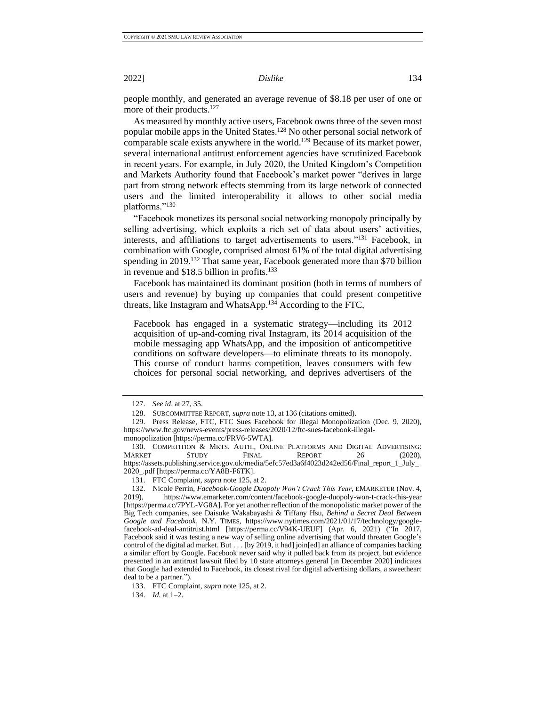people monthly, and generated an average revenue of \$8.18 per user of one or more of their products.<sup>127</sup>

As measured by monthly active users, Facebook owns three of the seven most popular mobile apps in the United States.<sup>128</sup> No other personal social network of comparable scale exists anywhere in the world.<sup>129</sup> Because of its market power, several international antitrust enforcement agencies have scrutinized Facebook in recent years. For example, in July 2020, the United Kingdom's Competition and Markets Authority found that Facebook's market power "derives in large part from strong network effects stemming from its large network of connected users and the limited interoperability it allows to other social media platforms."<sup>130</sup>

"Facebook monetizes its personal social networking monopoly principally by selling advertising, which exploits a rich set of data about users' activities, interests, and affiliations to target advertisements to users."<sup>131</sup> Facebook, in combination with Google, comprised almost 61% of the total digital advertising spending in 2019.<sup>132</sup> That same year, Facebook generated more than \$70 billion in revenue and \$18.5 billion in profits.<sup>133</sup>

Facebook has maintained its dominant position (both in terms of numbers of users and revenue) by buying up companies that could present competitive threats, like Instagram and WhatsApp.<sup>134</sup> According to the FTC,

Facebook has engaged in a systematic strategy—including its 2012 acquisition of up-and-coming rival Instagram, its 2014 acquisition of the mobile messaging app WhatsApp, and the imposition of anticompetitive conditions on software developers—to eliminate threats to its monopoly. This course of conduct harms competition, leaves consumers with few choices for personal social networking, and deprives advertisers of the

<span id="page-15-0"></span>

<sup>127.</sup> *See id*. at 27, 35.

<sup>128.</sup> SUBCOMMITTEE REPORT, *supra* not[e 13,](#page-4-2) at 136 (citations omitted).

<sup>129.</sup> Press Release, FTC, FTC Sues Facebook for Illegal Monopolization (Dec. 9, 2020), https://www.ftc.gov/news-events/press-releases/2020/12/ftc-sues-facebook-illegal-

monopolization [https://perma.cc/FRV6-5WTA].

<sup>130.</sup> COMPETITION & MKTS. AUTH., ONLINE PLATFORMS AND DIGITAL ADVERTISING:<br>MARKET STUDY FINAL REPORT 26 (2020) MARKET STUDY FINAL REPORT 26 (2020), https://assets.publishing.service.gov.uk/media/5efc57ed3a6f4023d242ed56/Final\_report\_1\_July\_ 2020\_.pdf [https://perma.cc/YA8B-F6TK].

<sup>131.</sup> FTC Complaint, *supra* not[e 125,](#page-14-1) at 2.

<sup>132.</sup> Nicole Perrin, *Facebook-Google Duopoly Won't Crack This Year*, EMARKETER (Nov. 4, 2019), https://www.emarketer.com/content/facebook-google-duopoly-won-t-crack-this-year 2019), https://www.emarketer.com/content/facebook-google-duopoly-won-t-crack-this-year [https://perma.cc/7PYL-VG8A]. For yet another reflection of the monopolistic market power of the Big Tech companies, see Daisuke Wakabayashi & Tiffany Hsu, *Behind a Secret Deal Between Google and Facebook*, N.Y. TIMES, https://www.nytimes.com/2021/01/17/technology/googlefacebook-ad-deal-antitrust.html [https://perma.cc/V94K-UEUF] (Apr. 6, 2021) ("In 2017, Facebook said it was testing a new way of selling online advertising that would threaten Google's control of the digital ad market. But . . . [by 2019, it had] join[ed] an alliance of companies backing a similar effort by Google. Facebook never said why it pulled back from its project, but evidence presented in an antitrust lawsuit filed by 10 state attorneys general [in December 2020] indicates that Google had extended to Facebook, its closest rival for digital advertising dollars, a sweetheart deal to be a partner.").

<sup>133.</sup> FTC Complaint, *supra* not[e 125,](#page-14-1) at 2.

<sup>134.</sup> *Id.* at 1–2.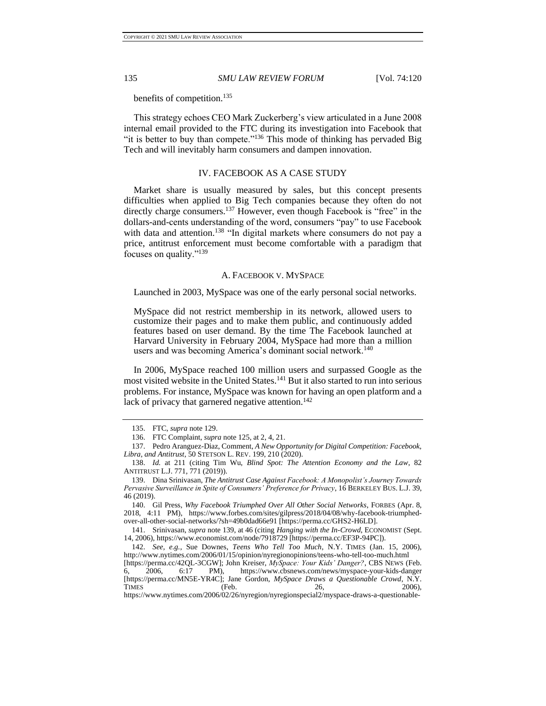benefits of competition.<sup>135</sup>

This strategy echoes CEO Mark Zuckerberg's view articulated in a June 2008 internal email provided to the FTC during its investigation into Facebook that "it is better to buy than compete."<sup>136</sup> This mode of thinking has pervaded Big Tech and will inevitably harm consumers and dampen innovation.

#### IV. FACEBOOK AS A CASE STUDY

<span id="page-16-0"></span>Market share is usually measured by sales, but this concept presents difficulties when applied to Big Tech companies because they often do not directly charge consumers.<sup>137</sup> However, even though Facebook is "free" in the dollars-and-cents understanding of the word, consumers "pay" to use Facebook with data and attention.<sup>138</sup> "In digital markets where consumers do not pay a price, antitrust enforcement must become comfortable with a paradigm that focuses on quality."<sup>139</sup>

#### <span id="page-16-2"></span>A. FACEBOOK V. MYSPACE

<span id="page-16-1"></span>Launched in 2003, MySpace was one of the early personal social networks.

MySpace did not restrict membership in its network, allowed users to customize their pages and to make them public, and continuously added features based on user demand. By the time The Facebook launched at Harvard University in February 2004, MySpace had more than a million users and was becoming America's dominant social network.<sup>140</sup>

In 2006, MySpace reached 100 million users and surpassed Google as the most visited website in the United States.<sup>141</sup> But it also started to run into serious problems. For instance, MySpace was known for having an open platform and a lack of privacy that garnered negative attention.<sup>142</sup>

<sup>135.</sup> FTC, *supra* not[e 129.](#page-15-0)

<sup>136.</sup> FTC Complaint, *supra* not[e 125,](#page-14-1) at 2, 4, 21.

<sup>137.</sup> Pedro Aranguez-Diaz, Comment, *A New Opportunity for Digital Competition: Facebook, Libra, and Antitrust*, 50 STETSON L. REV. 199, 210 (2020).

<sup>138.</sup> *Id.* at 211 (citing Tim Wu, *Blind Spot: The Attention Economy and the Law*, 82 ANTITRUST L.J. 771, 771 (2019)).

<sup>139.</sup> Dina Srinivasan, *The Antitrust Case Against Facebook: A Monopolist's Journey Towards Pervasive Surveillance in Spite of Consumers' Preference for Privacy*, 16 BERKELEY BUS. L.J. 39, 46 (2019).

<sup>140.</sup> Gil Press, *Why Facebook Triumphed Over All Other Social Networks*, FORBES (Apr. 8, 2018, 4:11 PM), https://www.forbes.com/sites/gilpress/2018/04/08/why-facebook-triumphedover-all-other-social-networks/?sh=49b0dad66e91 [https://perma.cc/GHS2-H6LD].

<sup>141.</sup> Srinivasan, *supra* not[e 139,](#page-16-2) at 46 (citing *Hanging with the In-Crowd*, ECONOMIST (Sept. 14, 2006), https://www.economist.com/node/7918729 [https://perma.cc/EF3P-94PC]).

<sup>142.</sup> *See, e.g.*, Sue Downes, *Teens Who Tell Too Much*, N.Y. TIMES (Jan. 15, 2006), http://www.nytimes.com/2006/01/15/opinion/nyregionopinions/teens-who-tell-too-much.html

<sup>[</sup>https://perma.cc/42QL-3CGW]; John Kreiser, *MySpace: Your Kids' Danger?*, CBS NEWS (Feb. 6, 2006, 6:17 PM), https://www.cbsnews.com/news/myspace-your-kids-danger [https://perma.cc/MN5E-YR4C]; Jane Gordon, *MySpace Draws a Questionable Crowd*, N.Y. TIMES (Feb. 26, 2006),

https://www.nytimes.com/2006/02/26/nyregion/nyregionspecial2/myspace-draws-a-questionable-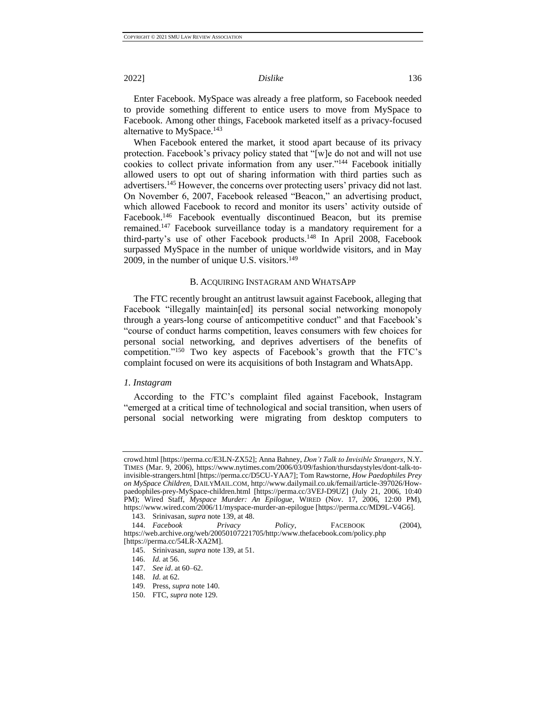Enter Facebook. MySpace was already a free platform, so Facebook needed to provide something different to entice users to move from MySpace to Facebook. Among other things, Facebook marketed itself as a privacy-focused alternative to MySpace.<sup>143</sup>

When Facebook entered the market, it stood apart because of its privacy protection. Facebook's privacy policy stated that "[w]e do not and will not use cookies to collect private information from any user."<sup>144</sup> Facebook initially allowed users to opt out of sharing information with third parties such as advertisers.<sup>145</sup> However, the concerns over protecting users' privacy did not last. On November 6, 2007, Facebook released "Beacon," an advertising product, which allowed Facebook to record and monitor its users' activity outside of Facebook.<sup>146</sup> Facebook eventually discontinued Beacon, but its premise remained.<sup>147</sup> Facebook surveillance today is a mandatory requirement for a third-party's use of other Facebook products.<sup>148</sup> In April 2008, Facebook surpassed MySpace in the number of unique worldwide visitors, and in May 2009, in the number of unique U.S. visitors.<sup>149</sup>

#### B. ACQUIRING INSTAGRAM AND WHATSAPP

<span id="page-17-0"></span>The FTC recently brought an antitrust lawsuit against Facebook, alleging that Facebook "illegally maintain[ed] its personal social networking monopoly through a years-long course of anticompetitive conduct" and that Facebook's "course of conduct harms competition, leaves consumers with few choices for personal social networking, and deprives advertisers of the benefits of competition."<sup>150</sup> Two key aspects of Facebook's growth that the FTC's complaint focused on were its acquisitions of both Instagram and WhatsApp.

#### <span id="page-17-1"></span>*1. Instagram*

According to the FTC's complaint filed against Facebook, Instagram "emerged at a critical time of technological and social transition, when users of personal social networking were migrating from desktop computers to

crowd.html [https://perma.cc/E3LN-ZX52]; Anna Bahney, *Don't Talk to Invisible Strangers*, N.Y. TIMES (Mar. 9, 2006), https://www.nytimes.com/2006/03/09/fashion/thursdaystyles/dont-talk-toinvisible-strangers.html [https://perma.cc/D5CU-YAA7]; Tom Rawstorne, *How Paedophiles Prey on MySpace Children*, DAILYMAIL.COM, http://www.dailymail.co.uk/femail/article-397026/Howpaedophiles-prey-MySpace-children.html [https://perma.cc/3VEJ-D9UZ] (July 21, 2006, 10:40 PM); Wired Staff, *Myspace Murder: An Epilogue*, WIRED (Nov. 17, 2006, 12:00 PM), https://www.wired.com/2006/11/myspace-murder-an-epilogue [https://perma.cc/MD9L-V4G6].

<sup>143.</sup> Srinivasan, *supra* not[e 139,](#page-16-2) at 48.

<sup>144.</sup> *Facebook Privacy Policy*, FACEBOOK (2004), https://web.archive.org/web/20050107221705/http:/www.thefacebook.com/policy.php [https://perma.cc/54LR-XA2M].

<sup>145.</sup> Srinivasan, *supra* not[e 139,](#page-16-2) at 51.

<sup>146.</sup> *Id.* at 56.

<sup>147.</sup> *See id*. at 60–62.

<sup>148.</sup> *Id*. at 62.

<sup>149.</sup> Press, *supra* note 140.

<sup>150.</sup> FTC, *supra* note 129.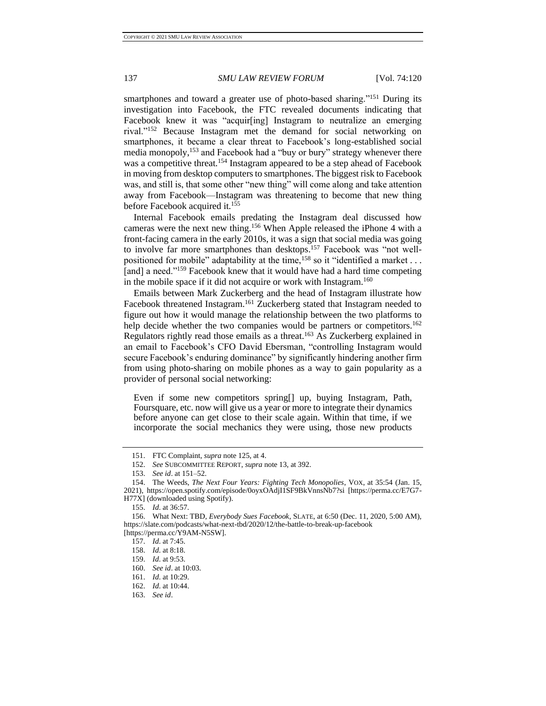smartphones and toward a greater use of photo-based sharing."<sup>151</sup> During its investigation into Facebook, the FTC revealed documents indicating that Facebook knew it was "acquir[ing] Instagram to neutralize an emerging rival."<sup>152</sup> Because Instagram met the demand for social networking on smartphones, it became a clear threat to Facebook's long-established social media monopoly,<sup>153</sup> and Facebook had a "buy or bury" strategy whenever there was a competitive threat.<sup>154</sup> Instagram appeared to be a step ahead of Facebook in moving from desktop computers to smartphones. The biggest risk to Facebook was, and still is, that some other "new thing" will come along and take attention away from Facebook—Instagram was threatening to become that new thing before Facebook acquired it.<sup>155</sup>

Internal Facebook emails predating the Instagram deal discussed how cameras were the next new thing.<sup>156</sup> When Apple released the iPhone 4 with a front-facing camera in the early 2010s, it was a sign that social media was going to involve far more smartphones than desktops.<sup>157</sup> Facebook was "not wellpositioned for mobile" adaptability at the time,<sup>158</sup> so it "identified a market . . . [and] a need."<sup>159</sup> Facebook knew that it would have had a hard time competing in the mobile space if it did not acquire or work with Instagram.<sup>160</sup>

Emails between Mark Zuckerberg and the head of Instagram illustrate how Facebook threatened Instagram.<sup>161</sup> Zuckerberg stated that Instagram needed to figure out how it would manage the relationship between the two platforms to help decide whether the two companies would be partners or competitors.<sup>162</sup> Regulators rightly read those emails as a threat.<sup>163</sup> As Zuckerberg explained in an email to Facebook's CFO David Ebersman, "controlling Instagram would secure Facebook's enduring dominance" by significantly hindering another firm from using photo-sharing on mobile phones as a way to gain popularity as a provider of personal social networking:

Even if some new competitors spring[] up, buying Instagram, Path, Foursquare, etc. now will give us a year or more to integrate their dynamics before anyone can get close to their scale again. Within that time, if we incorporate the social mechanics they were using, those new products

<sup>151.</sup> FTC Complaint, *supra* note 125, at 4.

<sup>152.</sup> *See* SUBCOMMITTEE REPORT, *supra* note 13, at 392.

<sup>153.</sup> *See id*. at 151–52.

<sup>154.</sup> The Weeds, *The Next Four Years: Fighting Tech Monopolies*, VOX, at 35:54 (Jan. 15, 2021), https://open.spotify.com/episode/0oyxOAdjI1SF9BkVnnsNb7?si [https://perma.cc/E7G7- H77X] (downloaded using Spotify).

<sup>155.</sup> *Id*. at 36:57.

<sup>156.</sup> What Next: TBD*, Everybody Sues Facebook*, SLATE, at 6:50 (Dec. 11, 2020, 5:00 AM), https://slate.com/podcasts/what-next-tbd/2020/12/the-battle-to-break-up-facebook [https://perma.cc/Y9AM-N5SW].

<sup>157.</sup> *Id*. at 7:45.

<sup>158.</sup> *Id*. at 8:18.

<sup>159.</sup> *Id*. at 9:53.

<sup>160.</sup> *See id*. at 10:03.

<sup>161.</sup> *Id*. at 10:29.

<sup>162.</sup> *Id*. at 10:44.

<sup>163.</sup> *See id*.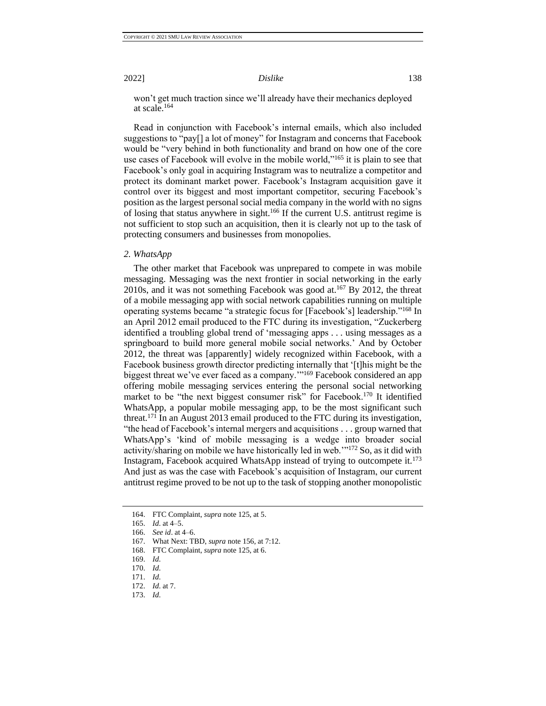won't get much traction since we'll already have their mechanics deployed at scale.<sup>164</sup>

Read in conjunction with Facebook's internal emails, which also included suggestions to "pay[] a lot of money" for Instagram and concerns that Facebook would be "very behind in both functionality and brand on how one of the core use cases of Facebook will evolve in the mobile world,"<sup>165</sup> it is plain to see that Facebook's only goal in acquiring Instagram was to neutralize a competitor and protect its dominant market power. Facebook's Instagram acquisition gave it control over its biggest and most important competitor, securing Facebook's position as the largest personal social media company in the world with no signs of losing that status anywhere in sight.<sup>166</sup> If the current U.S. antitrust regime is not sufficient to stop such an acquisition, then it is clearly not up to the task of protecting consumers and businesses from monopolies.

#### <span id="page-19-0"></span>*2. WhatsApp*

The other market that Facebook was unprepared to compete in was mobile messaging. Messaging was the next frontier in social networking in the early 2010s, and it was not something Facebook was good at.<sup>167</sup> By 2012, the threat of a mobile messaging app with social network capabilities running on multiple operating systems became "a strategic focus for [Facebook's] leadership."<sup>168</sup> In an April 2012 email produced to the FTC during its investigation, "Zuckerberg identified a troubling global trend of 'messaging apps . . . using messages as a springboard to build more general mobile social networks.' And by October 2012, the threat was [apparently] widely recognized within Facebook, with a Facebook business growth director predicting internally that '[t]his might be the biggest threat we've ever faced as a company.'"<sup>169</sup> Facebook considered an app offering mobile messaging services entering the personal social networking market to be "the next biggest consumer risk" for Facebook.<sup>170</sup> It identified WhatsApp, a popular mobile messaging app, to be the most significant such threat.<sup>171</sup> In an August 2013 email produced to the FTC during its investigation, "the head of Facebook's internal mergers and acquisitions . . . group warned that WhatsApp's 'kind of mobile messaging is a wedge into broader social activity/sharing on mobile we have historically led in web.'"<sup>172</sup> So, as it did with Instagram, Facebook acquired WhatsApp instead of trying to outcompete it.<sup>173</sup> And just as was the case with Facebook's acquisition of Instagram, our current antitrust regime proved to be not up to the task of stopping another monopolistic

<sup>164.</sup> FTC Complaint, *supra* note 125, at 5.

<sup>165.</sup> *Id*. at 4–5.

<sup>166.</sup> *See id*. at 4–6.

<sup>167.</sup> What Next: TBD, *supra* note 156, at 7:12.

<sup>168.</sup> FTC Complaint, *supra* note 125, at 6.

<sup>169.</sup> *Id*.

<sup>170.</sup> *Id*.

<sup>171.</sup> *Id*.

<sup>172.</sup> *Id*. at 7.

<sup>173.</sup> *Id*.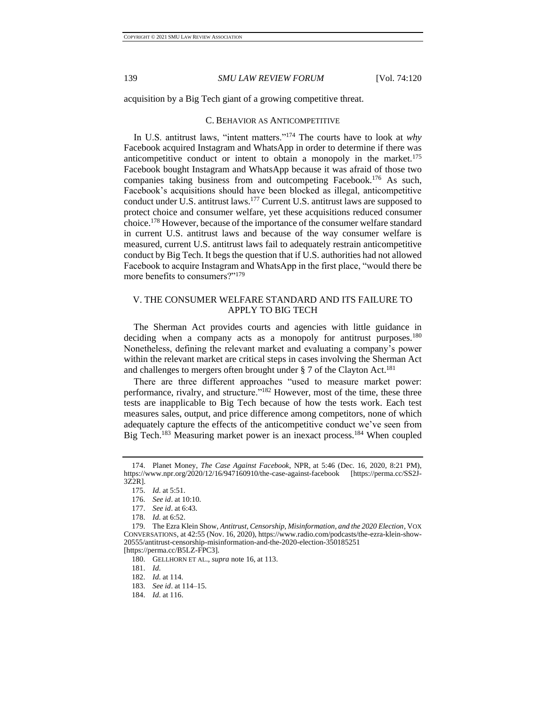<span id="page-20-0"></span>acquisition by a Big Tech giant of a growing competitive threat.

#### C. BEHAVIOR AS ANTICOMPETITIVE

In U.S. antitrust laws, "intent matters."<sup>174</sup> The courts have to look at *why* Facebook acquired Instagram and WhatsApp in order to determine if there was anticompetitive conduct or intent to obtain a monopoly in the market.<sup>175</sup> Facebook bought Instagram and WhatsApp because it was afraid of those two companies taking business from and outcompeting Facebook.<sup>176</sup> As such, Facebook's acquisitions should have been blocked as illegal, anticompetitive conduct under  $\hat{U}$ .S. antitrust laws.<sup>177</sup> Current U.S. antitrust laws are supposed to protect choice and consumer welfare, yet these acquisitions reduced consumer choice.<sup>178</sup> However, because of the importance of the consumer welfare standard in current U.S. antitrust laws and because of the way consumer welfare is measured, current U.S. antitrust laws fail to adequately restrain anticompetitive conduct by Big Tech. It begs the question that if U.S. authorities had not allowed Facebook to acquire Instagram and WhatsApp in the first place, "would there be more benefits to consumers?"<sup>179</sup>

### <span id="page-20-1"></span>V. THE CONSUMER WELFARE STANDARD AND ITS FAILURE TO APPLY TO BIG TECH

The Sherman Act provides courts and agencies with little guidance in deciding when a company acts as a monopoly for antitrust purposes.<sup>180</sup> Nonetheless, defining the relevant market and evaluating a company's power within the relevant market are critical steps in cases involving the Sherman Act and challenges to mergers often brought under  $\S 7$  of the Clayton Act.<sup>181</sup>

There are three different approaches "used to measure market power: performance, rivalry, and structure."<sup>182</sup> However, most of the time, these three tests are inapplicable to Big Tech because of how the tests work. Each test measures sales, output, and price difference among competitors, none of which adequately capture the effects of the anticompetitive conduct we've seen from Big Tech.<sup>183</sup> Measuring market power is an inexact process.<sup>184</sup> When coupled

<sup>174.</sup> Planet Money, *The Case Against Facebook*, NPR, at 5:46 (Dec. 16, 2020, 8:21 PM), https://www.npr.org/2020/12/16/947160910/the-case-against-facebook [https://perma.cc/SS2J-3Z2R].

<sup>175.</sup> *Id*. at 5:51.

<sup>176.</sup> *See id*. at 10:10.

<sup>177.</sup> *See id*. at 6:43.

<sup>178.</sup> *Id*. at 6:52.

<sup>179.</sup> The Ezra Klein Show, *Antitrust, Censorship, Misinformation, and the 2020 Election*, VOX CONVERSATIONS, at 42:55 (Nov. 16, 2020), https://www.radio.com/podcasts/the-ezra-klein-show-20555/antitrust-censorship-misinformation-and-the-2020-election-350185251 [https://perma.cc/B5LZ-FPC3].

<sup>180.</sup> GELLHORN ET AL., *supra* note [16,](#page-4-3) at 113.

<sup>181.</sup> *Id*.

<sup>182.</sup> *Id*. at 114.

<sup>183.</sup> *See id*. at 114–15.

<sup>184.</sup> *Id*. at 116.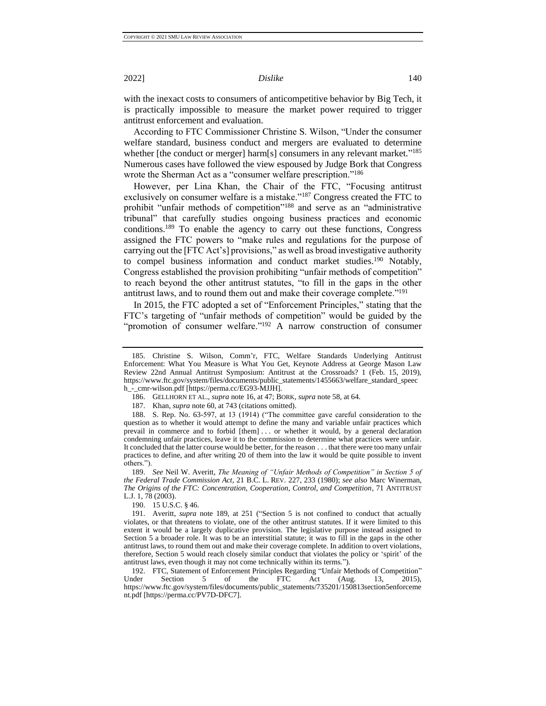with the inexact costs to consumers of anticompetitive behavior by Big Tech, it is practically impossible to measure the market power required to trigger antitrust enforcement and evaluation.

According to FTC Commissioner Christine S. Wilson, "Under the consumer welfare standard, business conduct and mergers are evaluated to determine whether [the conduct or merger] harm[s] consumers in any relevant market."<sup>185</sup> Numerous cases have followed the view espoused by Judge Bork that Congress wrote the Sherman Act as a "consumer welfare prescription."<sup>186</sup>

However, per Lina Khan, the Chair of the FTC, "Focusing antitrust exclusively on consumer welfare is a mistake."<sup>187</sup> Congress created the FTC to prohibit "unfair methods of competition"<sup>188</sup> and serve as an "administrative tribunal" that carefully studies ongoing business practices and economic conditions.<sup>189</sup> To enable the agency to carry out these functions, Congress assigned the FTC powers to "make rules and regulations for the purpose of carrying out the [FTC Act's] provisions," as well as broad investigative authority to compel business information and conduct market studies.<sup>190</sup> Notably, Congress established the provision prohibiting "unfair methods of competition" to reach beyond the other antitrust statutes, "to fill in the gaps in the other antitrust laws, and to round them out and make their coverage complete."<sup>191</sup>

In 2015, the FTC adopted a set of "Enforcement Principles," stating that the FTC's targeting of "unfair methods of competition" would be guided by the "promotion of consumer welfare."<sup>192</sup> A narrow construction of consumer

186. GELLHORN ET AL., *supra* note 16, at 47; BORK, *supra* note 58, at 64.

187. Khan*, supra* note 60, at 743 (citations omitted).

188. S. Rep. No. 63-597, at 13 (1914) ("The committee gave careful consideration to the question as to whether it would attempt to define the many and variable unfair practices which prevail in commerce and to forbid [them] ... or whether it would, by a general declaration condemning unfair practices, leave it to the commission to determine what practices were unfair. It concluded that the latter course would be better, for the reason . . . that there were too many unfair practices to define, and after writing 20 of them into the law it would be quite possible to invent others.").

189. *See* Neil W. Averitt, *The Meaning of "Unfair Methods of Competition" in Section 5 of the Federal Trade Commission Act*, 21 B.C. L. REV. 227, 233 (1980); *see also* Marc Winerman, *The Origins of the FTC: Concentration, Cooperation, Control, and Competition*, 71 ANTITRUST L.J. 1, 78 (2003).

190. 15 U.S.C. § 46.

191. Averitt, *supra* note 189, at 251 ("Section 5 is not confined to conduct that actually violates, or that threatens to violate, one of the other antitrust statutes. If it were limited to this extent it would be a largely duplicative provision. The legislative purpose instead assigned to Section 5 a broader role. It was to be an interstitial statute; it was to fill in the gaps in the other antitrust laws, to round them out and make their coverage complete. In addition to overt violations, therefore, Section 5 would reach closely similar conduct that violates the policy or 'spirit' of the antitrust laws, even though it may not come technically within its terms.").

192. FTC, Statement of Enforcement Principles Regarding "Unfair Methods of Competition" Under Section 5 of the FTC Act (Aug. 13, 2015), https://www.ftc.gov/system/files/documents/public\_statements/735201/150813section5enforceme nt.pdf [https://perma.cc/PV7D-DFC7].

<span id="page-21-0"></span>

<sup>185.</sup> Christine S. Wilson, Comm'r, FTC, Welfare Standards Underlying Antitrust Enforcement: What You Measure is What You Get, Keynote Address at George Mason Law Review 22nd Annual Antitrust Symposium: Antitrust at the Crossroads? 1 (Feb. 15, 2019), https://www.ftc.gov/system/files/documents/public\_statements/1455663/welfare\_standard\_speec h\_-\_cmr-wilson.pdf [https://perma.cc/EG93-MJJH].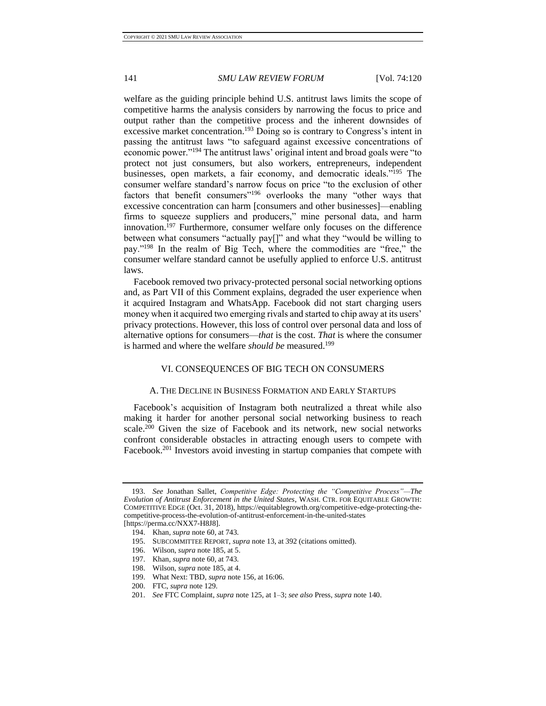welfare as the guiding principle behind U.S. antitrust laws limits the scope of competitive harms the analysis considers by narrowing the focus to price and output rather than the competitive process and the inherent downsides of excessive market concentration.<sup>193</sup> Doing so is contrary to Congress's intent in passing the antitrust laws "to safeguard against excessive concentrations of economic power."<sup>194</sup> The antitrust laws' original intent and broad goals were "to protect not just consumers, but also workers, entrepreneurs, independent businesses, open markets, a fair economy, and democratic ideals."<sup>195</sup> The consumer welfare standard's narrow focus on price "to the exclusion of other factors that benefit consumers"<sup>196</sup> overlooks the many "other ways that excessive concentration can harm [consumers and other businesses]—enabling firms to squeeze suppliers and producers," mine personal data, and harm innovation.<sup>197</sup> Furthermore, consumer welfare only focuses on the difference between what consumers "actually pay[]" and what they "would be willing to pay."<sup>198</sup> In the realm of Big Tech, where the commodities are "free," the consumer welfare standard cannot be usefully applied to enforce U.S. antitrust laws.

Facebook removed two privacy-protected personal social networking options and, as Part VII of this Comment explains, degraded the user experience when it acquired Instagram and WhatsApp. Facebook did not start charging users money when it acquired two emerging rivals and started to chip away at its users' privacy protections. However, this loss of control over personal data and loss of alternative options for consumers—*that* is the cost. *That* is where the consumer is harmed and where the welfare *should be* measured.<sup>199</sup>

#### <span id="page-22-0"></span>VI. CONSEQUENCES OF BIG TECH ON CONSUMERS

#### A. THE DECLINE IN BUSINESS FORMATION AND EARLY STARTUPS

<span id="page-22-1"></span>Facebook's acquisition of Instagram both neutralized a threat while also making it harder for another personal social networking business to reach scale.<sup>200</sup> Given the size of Facebook and its network, new social networks confront considerable obstacles in attracting enough users to compete with Facebook.<sup>201</sup> Investors avoid investing in startup companies that compete with

<sup>193.</sup> *See* Jonathan Sallet, *Competitive Edge: Protecting the "Competitive Process"—The Evolution of Antitrust Enforcement in the United States*, WASH. CTR. FOR EQUITABLE GROWTH: COMPETITIVE EDGE (Oct. 31, 2018), https://equitablegrowth.org/competitive-edge-protecting-thecompetitive-process-the-evolution-of-antitrust-enforcement-in-the-united-states [https://perma.cc/NXX7-H8J8].

<sup>194.</sup> Khan*, supra* not[e 60,](#page-8-2) at 743.

<sup>195.</sup> SUBCOMMITTEE REPORT, *supra* not[e 13,](#page-4-2) at 392 (citations omitted).

<sup>196.</sup> Wilson, *supra* note 185, at 5.

<sup>197.</sup> Khan*, supra* not[e 60,](#page-8-2) at 743.

<sup>198.</sup> Wilson, *supra* note 185, at 4.

<sup>199.</sup> What Next: TBD, *supra* note 156, at 16:06.

<sup>200.</sup> FTC, *supra* note 129.

<sup>201.</sup> *See* FTC Complaint, *supra* note 125, at 1–3; *see also* Press, *supra* note 140.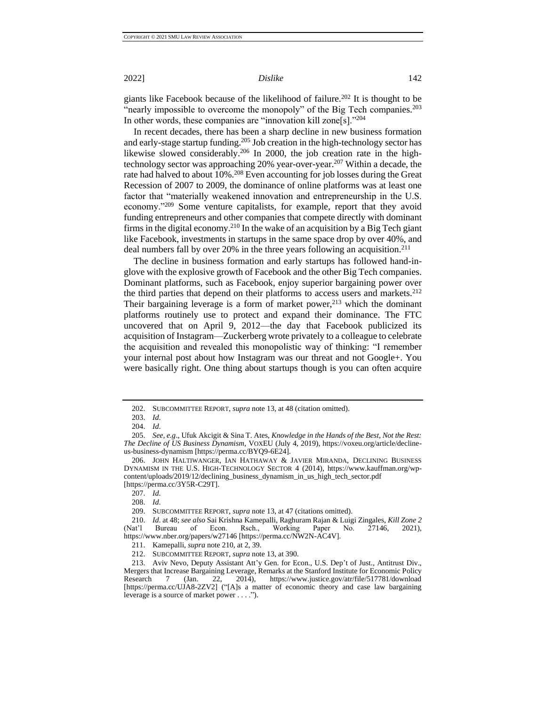giants like Facebook because of the likelihood of failure.<sup>202</sup> It is thought to be "nearly impossible to overcome the monopoly" of the Big Tech companies.<sup>203</sup> In other words, these companies are "innovation kill zone[s]."<sup>204</sup>

In recent decades, there has been a sharp decline in new business formation and early-stage startup funding.<sup>205</sup> Job creation in the high-technology sector has likewise slowed considerably.<sup>206</sup> In 2000, the job creation rate in the hightechnology sector was approaching 20% year-over-year.<sup>207</sup> Within a decade, the rate had halved to about 10%.<sup>208</sup> Even accounting for job losses during the Great Recession of 2007 to 2009, the dominance of online platforms was at least one factor that "materially weakened innovation and entrepreneurship in the U.S. economy."<sup>209</sup> Some venture capitalists, for example, report that they avoid funding entrepreneurs and other companies that compete directly with dominant firms in the digital economy.<sup>210</sup> In the wake of an acquisition by a Big Tech giant like Facebook, investments in startups in the same space drop by over 40%, and deal numbers fall by over 20% in the three years following an acquisition.<sup>211</sup>

The decline in business formation and early startups has followed hand-inglove with the explosive growth of Facebook and the other Big Tech companies. Dominant platforms, such as Facebook, enjoy superior bargaining power over the third parties that depend on their platforms to access users and markets.<sup>212</sup> Their bargaining leverage is a form of market power, $213$  which the dominant platforms routinely use to protect and expand their dominance. The FTC uncovered that on April 9, 2012—the day that Facebook publicized its acquisition of Instagram—Zuckerberg wrote privately to a colleague to celebrate the acquisition and revealed this monopolistic way of thinking: "I remember your internal post about how Instagram was our threat and not Google+. You were basically right. One thing about startups though is you can often acquire

<sup>202.</sup> SUBCOMMITTEE REPORT, *supra* not[e 13,](#page-4-2) at 48 (citation omitted).

<sup>203.</sup> *Id*.

<sup>204.</sup> *Id*.

<sup>205.</sup> *See, e.g*., Ufuk Akcigit & Sina T. Ates, *Knowledge in the Hands of the Best, Not the Rest: The Decline of US Business Dynamism*, VOXEU (July 4, 2019), https://voxeu.org/article/declineus-business-dynamism [https://perma.cc/BYQ9-6E24].

<sup>206.</sup> JOHN HALTIWANGER, IAN HATHAWAY & JAVIER MIRANDA, DECLINING BUSINESS DYNAMISM IN THE U.S. HIGH-TECHNOLOGY SECTOR 4 (2014), https://www.kauffman.org/wpcontent/uploads/2019/12/declining\_business\_dynamism\_in\_us\_high\_tech\_sector.pdf [https://perma.cc/3Y5R-C29T].

<sup>207.</sup> *Id*.

<sup>208.</sup> *Id*.

<sup>209.</sup> SUBCOMMITTEE REPORT, *supra* not[e 13,](#page-4-2) at 47 (citations omitted).

<sup>210.</sup> *Id*. at 48; *see also* Sai Krishna Kamepalli, Raghuram Rajan & Luigi Zingales, *Kill Zone 2* (Nat'l Bureau of Econ. Rsch., Working Paper No. 27146, 2021), https://www.nber.org/papers/w27146 [https://perma.cc/NW2N-AC4V].

<sup>211.</sup> Kamepalli, *supra* note 210, at 2, 39.

<sup>212.</sup> SUBCOMMITTEE REPORT, *supra* not[e 13,](#page-4-2) at 390.

<sup>213.</sup> Aviv Nevo, Deputy Assistant Att'y Gen. for Econ., U.S. Dep't of Just., Antitrust Div., Mergers that Increase Bargaining Leverage, Remarks at the Stanford Institute for Economic Policy Research 7 (Jan. 22, 2014), https://www.justice.gov/atr/file/517781/download [https://perma.cc/UJA8-2ZV2] ("[A]s a matter of economic theory and case law bargaining leverage is a source of market power . . . .").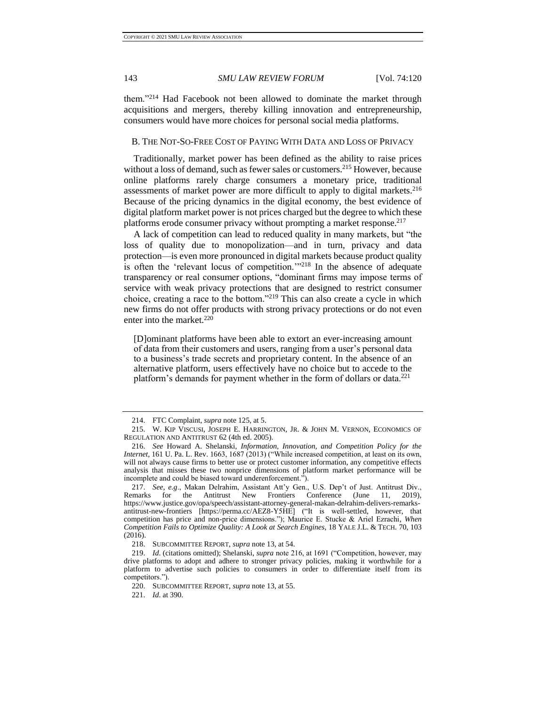them."<sup>214</sup> Had Facebook not been allowed to dominate the market through acquisitions and mergers, thereby killing innovation and entrepreneurship, consumers would have more choices for personal social media platforms.

### <span id="page-24-0"></span>B. THE NOT-SO-FREE COST OF PAYING WITH DATA AND LOSS OF PRIVACY

Traditionally, market power has been defined as the ability to raise prices without a loss of demand, such as fewer sales or customers.<sup>215</sup> However, because online platforms rarely charge consumers a monetary price, traditional assessments of market power are more difficult to apply to digital markets.<sup>216</sup> Because of the pricing dynamics in the digital economy, the best evidence of digital platform market power is not prices charged but the degree to which these platforms erode consumer privacy without prompting a market response.<sup>217</sup>

A lack of competition can lead to reduced quality in many markets, but "the loss of quality due to monopolization—and in turn, privacy and data protection—is even more pronounced in digital markets because product quality is often the 'relevant locus of competition.'"<sup>218</sup> In the absence of adequate transparency or real consumer options, "dominant firms may impose terms of service with weak privacy protections that are designed to restrict consumer choice, creating a race to the bottom."<sup>219</sup> This can also create a cycle in which new firms do not offer products with strong privacy protections or do not even enter into the market. $220$ 

[D]ominant platforms have been able to extort an ever-increasing amount of data from their customers and users, ranging from a user's personal data to a business's trade secrets and proprietary content. In the absence of an alternative platform, users effectively have no choice but to accede to the platform's demands for payment whether in the form of dollars or data.<sup>221</sup>

<sup>214.</sup> FTC Complaint, *supra* note 125, at 5.

<sup>215.</sup> W. KIP VISCUSI, JOSEPH E. HARRINGTON, JR. & JOHN M. VERNON, ECONOMICS OF REGULATION AND ANTITRUST 62 (4th ed. 2005).

<sup>216.</sup> *See* Howard A. Shelanski, *Information, Innovation, and Competition Policy for the Internet,* 161 U. Pa. L. Rev. 1663, 1687 (2013) ("While increased competition, at least on its own, will not always cause firms to better use or protect customer information, any competitive effects analysis that misses these two nonprice dimensions of platform market performance will be incomplete and could be biased toward underenforcement.").

<sup>217.</sup> *See, e.g*., Makan Delrahim, Assistant Att'y Gen., U.S. Dep't of Just. Antitrust Div., Conference (June 11, 2019), https://www.justice.gov/opa/speech/assistant-attorney-general-makan-delrahim-delivers-remarksantitrust-new-frontiers [https://perma.cc/AEZ8-Y5HE] ("It is well-settled, however, that competition has price and non-price dimensions."); Maurice E. Stucke & Ariel Ezrachi, *When Competition Fails to Optimize Quality: A Look at Search Engines*, 18 YALE J.L. & TECH. 70, 103 (2016).

<sup>218.</sup> SUBCOMMITTEE REPORT, *supra* not[e 13,](#page-4-2) at 54.

<sup>219.</sup> *Id*. (citations omitted); Shelanski, *supra* note 216, at 1691 ("Competition, however, may drive platforms to adopt and adhere to stronger privacy policies, making it worthwhile for a platform to advertise such policies to consumers in order to differentiate itself from its competitors.").

<sup>220.</sup> SUBCOMMITTEE REPORT, *supra* not[e 13,](#page-4-2) at 55.

<sup>221.</sup> *Id*. at 390.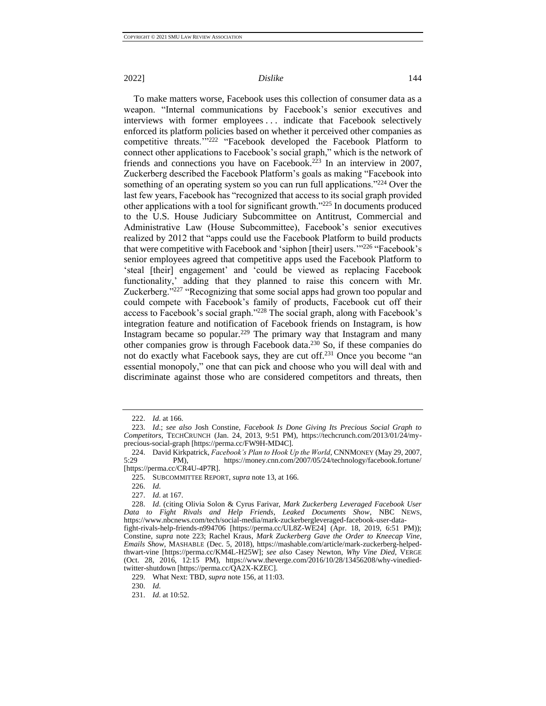To make matters worse, Facebook uses this collection of consumer data as a weapon. "Internal communications by Facebook's senior executives and interviews with former employees . . . indicate that Facebook selectively enforced its platform policies based on whether it perceived other companies as competitive threats.'"<sup>222</sup> "Facebook developed the Facebook Platform to connect other applications to Facebook's social graph," which is the network of friends and connections you have on Facebook.<sup>223</sup> In an interview in 2007, Zuckerberg described the Facebook Platform's goals as making "Facebook into something of an operating system so you can run full applications."<sup>224</sup> Over the last few years, Facebook has "recognized that access to its social graph provided other applications with a tool for significant growth."<sup>225</sup> In documents produced to the U.S. House Judiciary Subcommittee on Antitrust, Commercial and Administrative Law (House Subcommittee), Facebook's senior executives realized by 2012 that "apps could use the Facebook Platform to build products that were competitive with Facebook and 'siphon [their] users.'"<sup>226</sup> "Facebook's senior employees agreed that competitive apps used the Facebook Platform to 'steal [their] engagement' and 'could be viewed as replacing Facebook functionality,' adding that they planned to raise this concern with Mr. Zuckerberg."<sup>227</sup> "Recognizing that some social apps had grown too popular and could compete with Facebook's family of products, Facebook cut off their access to Facebook's social graph."<sup>228</sup> The social graph, along with Facebook's integration feature and notification of Facebook friends on Instagram, is how Instagram became so popular.<sup>229</sup> The primary way that Instagram and many other companies grow is through Facebook data.<sup>230</sup> So, if these companies do not do exactly what Facebook says, they are cut off.<sup>231</sup> Once you become "an essential monopoly," one that can pick and choose who you will deal with and discriminate against those who are considered competitors and threats, then

<sup>222.</sup> *Id*. at 166.

<sup>223.</sup> *Id*.; *see also* Josh Constine, *Facebook Is Done Giving Its Precious Social Graph to Competitors*, TECHCRUNCH (Jan. 24, 2013, 9:51 PM), https://techcrunch.com/2013/01/24/myprecious-social-graph [https://perma.cc/FW9H-MD4C].

<sup>224.</sup> David Kirkpatrick, *Facebook's Plan to Hook Up the World*, CNNMONEY (May 29, 2007, PM), https://money.cnn.com/2007/05/24/technology/facebook.fortune/ [https://perma.cc/CR4U-4P7R].

<sup>225.</sup> SUBCOMMITTEE REPORT, *supra* not[e 13,](#page-4-2) at 166.

<sup>226.</sup> *Id*.

<sup>227.</sup> *Id*. at 167.

<sup>228.</sup> *Id*. (citing Olivia Solon & Cyrus Farivar, *Mark Zuckerberg Leveraged Facebook User Data to Fight Rivals and Help Friends, Leaked Documents Show*, NBC NEWS, https://www.nbcnews.com/tech/social-media/mark-zuckerbergleveraged-facebook-user-datafight-rivals-help-friends-n994706 [https://perma.cc/UL8Z-WE24] (Apr. 18, 2019, 6:51 PM)); Constine, *supra* note 223; Rachel Kraus, *Mark Zuckerberg Gave the Order to Kneecap Vine, Emails Show*, MASHABLE (Dec. 5, 2018), https://mashable.com/article/mark-zuckerberg-helpedthwart-vine [https://perma.cc/KM4L-H25W]; *see also* Casey Newton, *Why Vine Died*, VERGE

<sup>(</sup>Oct. 28, 2016, 12:15 PM), https://www.theverge.com/2016/10/28/13456208/why-vinediedtwitter-shutdown [https://perma.cc/QA2X-KZEC].

<sup>229.</sup> What Next: TBD*, supra* note 156, at 11:03.

<sup>230.</sup> *Id*.

<sup>231.</sup> *Id*. at 10:52.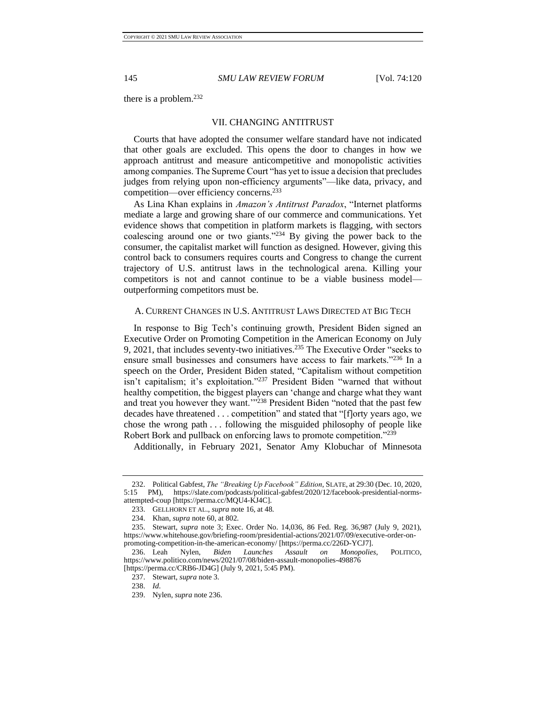<span id="page-26-0"></span>there is a problem.<sup>232</sup>

#### VII. CHANGING ANTITRUST

Courts that have adopted the consumer welfare standard have not indicated that other goals are excluded. This opens the door to changes in how we approach antitrust and measure anticompetitive and monopolistic activities among companies. The Supreme Court "has yet to issue a decision that precludes judges from relying upon non-efficiency arguments"—like data, privacy, and competition—over efficiency concerns.<sup>233</sup>

As Lina Khan explains in *Amazon's Antitrust Paradox*, "Internet platforms mediate a large and growing share of our commerce and communications. Yet evidence shows that competition in platform markets is flagging, with sectors coalescing around one or two giants."<sup>234</sup> By giving the power back to the consumer, the capitalist market will function as designed. However, giving this control back to consumers requires courts and Congress to change the current trajectory of U.S. antitrust laws in the technological arena. Killing your competitors is not and cannot continue to be a viable business model outperforming competitors must be.

#### <span id="page-26-1"></span>A. CURRENT CHANGES IN U.S. ANTITRUST LAWS DIRECTED AT BIG TECH

In response to Big Tech's continuing growth, President Biden signed an Executive Order on Promoting Competition in the American Economy on July 9, 2021, that includes seventy-two initiatives.<sup>235</sup> The Executive Order "seeks to ensure small businesses and consumers have access to fair markets."<sup>236</sup> In a speech on the Order, President Biden stated, "Capitalism without competition isn't capitalism; it's exploitation."<sup>237</sup> President Biden "warned that without healthy competition, the biggest players can 'change and charge what they want and treat you however they want.'"<sup>238</sup> President Biden "noted that the past few decades have threatened . . . competition" and stated that "[f]orty years ago, we chose the wrong path . . . following the misguided philosophy of people like Robert Bork and pullback on enforcing laws to promote competition."<sup>239</sup>

Additionally, in February 2021, Senator Amy Klobuchar of Minnesota

<sup>232.</sup> Political Gabfest, *The "Breaking Up Facebook" Edition*, SLATE, at 29:30 (Dec. 10, 2020, 5:15 PM), https://slate.com/podcasts/political-gabfest/2020/12/facebook-presidential-normsattempted-coup [https://perma.cc/MQU4-KJ4C].

<sup>233.</sup> GELLHORN ET AL., *supra* note [16,](#page-4-3) at 48.

<sup>234.</sup> Khan, *supra* not[e 60,](#page-8-2) at 802.

<sup>235.</sup> Stewart, *supra* note [3;](#page-3-6) Exec. Order No. 14,036, 86 Fed. Reg. 36,987 (July 9, 2021), https://www.whitehouse.gov/briefing-room/presidential-actions/2021/07/09/executive-order-onpromoting-competition-in-the-american-economy/ [https://perma.cc/226D-YCJ7].

<sup>236.</sup> Leah Nylen, *Biden Launches Assault on Monopolies*, POLITICO, https://www.politico.com/news/2021/07/08/biden-assault-monopolies-498876 [https://perma.cc/CRB6-JD4G] (July 9, 2021, 5:45 PM).

<sup>237.</sup> Stewart, *supra* not[e 3.](#page-3-6)

<sup>238.</sup> *Id*.

<sup>239.</sup> Nylen, *supra* note 236.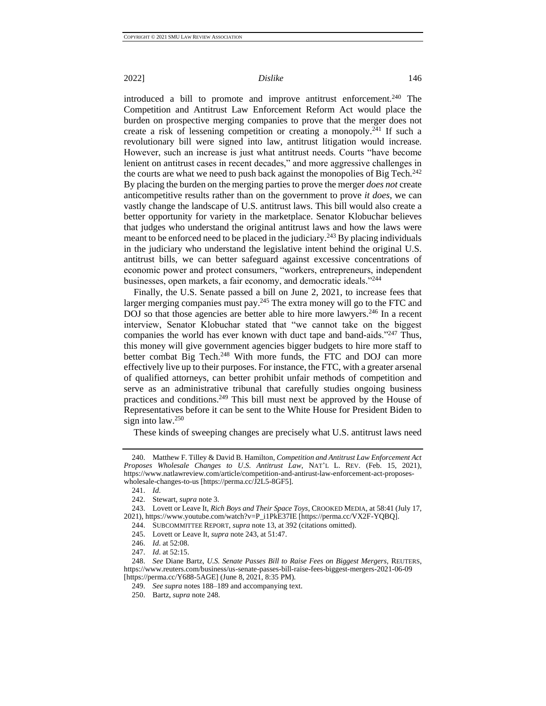introduced a bill to promote and improve antitrust enforcement.<sup>240</sup> The Competition and Antitrust Law Enforcement Reform Act would place the burden on prospective merging companies to prove that the merger does not create a risk of lessening competition or creating a monopoly.<sup>241</sup> If such a revolutionary bill were signed into law, antitrust litigation would increase. However, such an increase is just what antitrust needs. Courts "have become lenient on antitrust cases in recent decades," and more aggressive challenges in the courts are what we need to push back against the monopolies of Big Tech.<sup>242</sup> By placing the burden on the merging parties to prove the merger *does not* create anticompetitive results rather than on the government to prove *it does*, we can vastly change the landscape of U.S. antitrust laws. This bill would also create a better opportunity for variety in the marketplace. Senator Klobuchar believes that judges who understand the original antitrust laws and how the laws were meant to be enforced need to be placed in the judiciary.<sup>243</sup> By placing individuals in the judiciary who understand the legislative intent behind the original U.S. antitrust bills, we can better safeguard against excessive concentrations of economic power and protect consumers, "workers, entrepreneurs, independent businesses, open markets, a fair economy, and democratic ideals."<sup>244</sup>

Finally, the U.S. Senate passed a bill on June 2, 2021, to increase fees that larger merging companies must pay.<sup>245</sup> The extra money will go to the FTC and DOJ so that those agencies are better able to hire more lawyers.<sup>246</sup> In a recent interview, Senator Klobuchar stated that "we cannot take on the biggest companies the world has ever known with duct tape and band-aids."<sup>247</sup> Thus, this money will give government agencies bigger budgets to hire more staff to better combat Big Tech.<sup>248</sup> With more funds, the FTC and DOJ can more effectively live up to their purposes. For instance, the FTC, with a greater arsenal of qualified attorneys, can better prohibit unfair methods of competition and serve as an administrative tribunal that carefully studies ongoing business practices and conditions.<sup>249</sup> This bill must next be approved by the House of Representatives before it can be sent to the White House for President Biden to sign into law.<sup>250</sup>

These kinds of sweeping changes are precisely what U.S. antitrust laws need

243. Lovett or Leave It, *Rich Boys and Their Space Toys*, CROOKED MEDIA, at 58:41 (July 17, 2021), https://www.youtube.com/watch?v=P\_i1PkE37IE [https://perma.cc/VX2F-YQBQ].

<sup>240.</sup> Matthew F. Tilley & David B. Hamilton, *Competition and Antitrust Law Enforcement Act Proposes Wholesale Changes to U*.*S*. *Antitrust Law*, NAT'L L. REV. (Feb. 15, 2021), https://www.natlawreview.com/article/competition-and-antirust-law-enforcement-act-proposeswholesale-changes-to-us [https://perma.cc/J2L5-8GF5].

<sup>241.</sup> *Id*.

<sup>242.</sup> Stewart, *supra* not[e 3.](#page-3-6)

<sup>244.</sup> SUBCOMMITTEE REPORT, *supra* not[e 13,](#page-4-2) at 392 (citations omitted).

<sup>245.</sup> Lovett or Leave It, *supra* note 243, at 51:47.

<sup>246.</sup> *Id*. at 52:08.

<sup>247.</sup> *Id*. at 52:15.

<sup>248.</sup> *See* Diane Bartz, *U.S. Senate Passes Bill to Raise Fees on Biggest Mergers,* REUTERS, https://www.reuters.com/business/us-senate-passes-bill-raise-fees-biggest-mergers-2021-06-09 [https://perma.cc/Y688-5AGE] (June 8, 2021, 8:35 PM).

<sup>249.</sup> *See supra* notes 188–189 and accompanying text.

<sup>250.</sup> Bartz, *supra* note 248.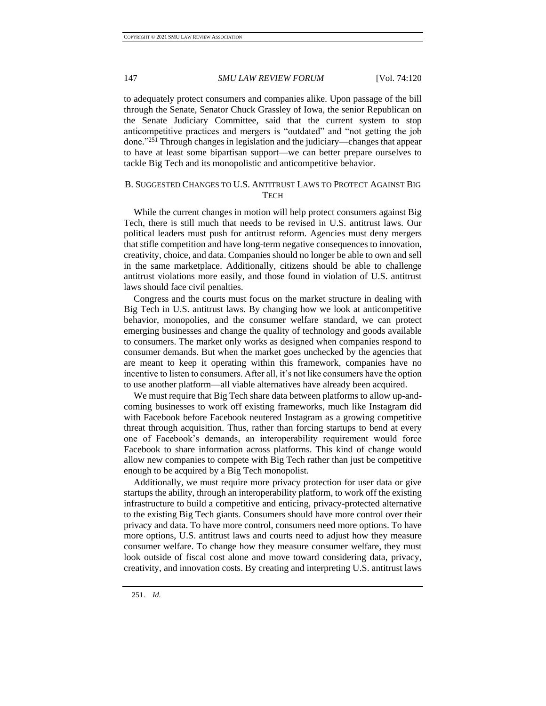to adequately protect consumers and companies alike. Upon passage of the bill through the Senate, Senator Chuck Grassley of Iowa, the senior Republican on the Senate Judiciary Committee, said that the current system to stop anticompetitive practices and mergers is "outdated" and "not getting the job done."<sup>251</sup> Through changes in legislation and the judiciary—changes that appear to have at least some bipartisan support—we can better prepare ourselves to tackle Big Tech and its monopolistic and anticompetitive behavior.

### <span id="page-28-0"></span>B. SUGGESTED CHANGES TO U.S. ANTITRUST LAWS TO PROTECT AGAINST BIG **TECH**

While the current changes in motion will help protect consumers against Big Tech, there is still much that needs to be revised in U.S. antitrust laws. Our political leaders must push for antitrust reform. Agencies must deny mergers that stifle competition and have long-term negative consequences to innovation, creativity, choice, and data. Companies should no longer be able to own and sell in the same marketplace. Additionally, citizens should be able to challenge antitrust violations more easily, and those found in violation of U.S. antitrust laws should face civil penalties.

Congress and the courts must focus on the market structure in dealing with Big Tech in U.S. antitrust laws. By changing how we look at anticompetitive behavior, monopolies, and the consumer welfare standard, we can protect emerging businesses and change the quality of technology and goods available to consumers. The market only works as designed when companies respond to consumer demands. But when the market goes unchecked by the agencies that are meant to keep it operating within this framework, companies have no incentive to listen to consumers. After all, it's not like consumers have the option to use another platform—all viable alternatives have already been acquired.

We must require that Big Tech share data between platforms to allow up-andcoming businesses to work off existing frameworks, much like Instagram did with Facebook before Facebook neutered Instagram as a growing competitive threat through acquisition. Thus, rather than forcing startups to bend at every one of Facebook's demands, an interoperability requirement would force Facebook to share information across platforms. This kind of change would allow new companies to compete with Big Tech rather than just be competitive enough to be acquired by a Big Tech monopolist.

Additionally, we must require more privacy protection for user data or give startups the ability, through an interoperability platform, to work off the existing infrastructure to build a competitive and enticing, privacy-protected alternative to the existing Big Tech giants. Consumers should have more control over their privacy and data. To have more control, consumers need more options. To have more options, U.S. antitrust laws and courts need to adjust how they measure consumer welfare. To change how they measure consumer welfare, they must look outside of fiscal cost alone and move toward considering data, privacy, creativity, and innovation costs. By creating and interpreting U.S. antitrust laws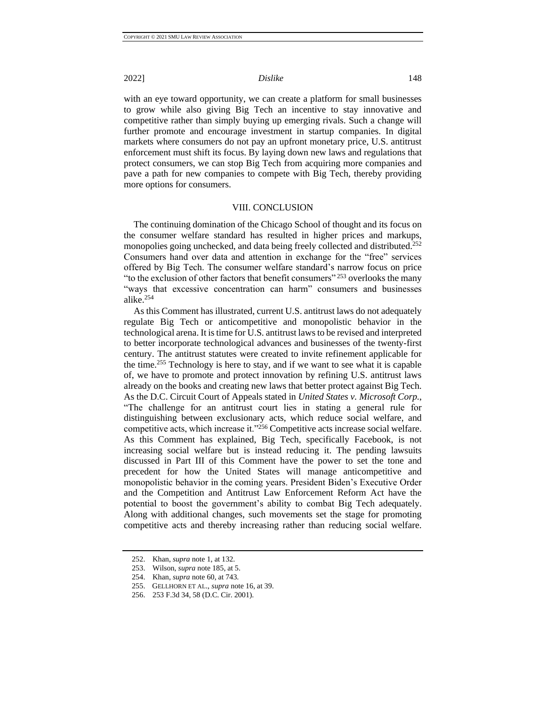with an eye toward opportunity, we can create a platform for small businesses to grow while also giving Big Tech an incentive to stay innovative and competitive rather than simply buying up emerging rivals. Such a change will further promote and encourage investment in startup companies. In digital markets where consumers do not pay an upfront monetary price, U.S. antitrust enforcement must shift its focus. By laying down new laws and regulations that protect consumers, we can stop Big Tech from acquiring more companies and pave a path for new companies to compete with Big Tech, thereby providing more options for consumers.

### VIII. CONCLUSION

<span id="page-29-0"></span>The continuing domination of the Chicago School of thought and its focus on the consumer welfare standard has resulted in higher prices and markups, monopolies going unchecked, and data being freely collected and distributed.<sup>252</sup> Consumers hand over data and attention in exchange for the "free" services offered by Big Tech. The consumer welfare standard's narrow focus on price "to the exclusion of other factors that benefit consumers" <sup>253</sup> overlooks the many "ways that excessive concentration can harm" consumers and businesses alike.<sup>254</sup>

As this Comment has illustrated, current U.S. antitrust laws do not adequately regulate Big Tech or anticompetitive and monopolistic behavior in the technological arena. It is time for U.S. antitrust laws to be revised and interpreted to better incorporate technological advances and businesses of the twenty-first century. The antitrust statutes were created to invite refinement applicable for the time.<sup>255</sup> Technology is here to stay, and if we want to see what it is capable of, we have to promote and protect innovation by refining U.S. antitrust laws already on the books and creating new laws that better protect against Big Tech. As the D.C. Circuit Court of Appeals stated in *United States v. Microsoft Corp.*, "The challenge for an antitrust court lies in stating a general rule for distinguishing between exclusionary acts, which reduce social welfare, and competitive acts, which increase it."<sup>256</sup> Competitive acts increase social welfare. As this Comment has explained, Big Tech, specifically Facebook, is not increasing social welfare but is instead reducing it. The pending lawsuits discussed in Part III of this Comment have the power to set the tone and precedent for how the United States will manage anticompetitive and monopolistic behavior in the coming years. President Biden's Executive Order and the Competition and Antitrust Law Enforcement Reform Act have the potential to boost the government's ability to combat Big Tech adequately. Along with additional changes, such movements set the stage for promoting competitive acts and thereby increasing rather than reducing social welfare.

<sup>252.</sup> Khan, *supra* not[e 1,](#page-3-4) at 132.

<sup>253.</sup> Wilson, *supra* not[e 185,](#page-21-0) at 5.

<sup>254.</sup> Khan*, supra* not[e 60,](#page-8-2) at 743.

<sup>255.</sup> GELLHORN ET AL., *supra* not[e 16,](#page-4-3) at 39.

<sup>256.</sup> 253 F.3d 34, 58 (D.C. Cir. 2001).